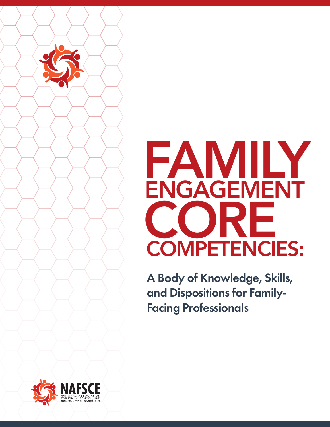

A Body of Knowledge, Skills, and Dispositions for Family-Facing Professionals

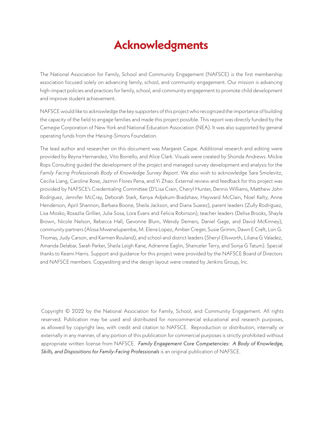#### **Acknowledgments**

The National Association for Family, School and Community Engagement (NAFSCE) is the first membership association focused solely on advancing family, school, and community engagement. Our mission is advancing high-impact policies and practices for family, school, and community engagement to promote child development and improve student achievement.

NAFSCE would like to acknowledge the key supporters of this project who recognized the importance of building the capacity of the field to engage families and made this project possible. This report was directly funded by the Carnegie Corporation of New York and National Education Association (NEA). It was also supported by general operating funds from the Heising-Simons Foundation.

The lead author and researcher on this document was Margaret Caspe. Additional research and editing were provided by Reyna Hernandez, Vito Borrello, and Alice Clark. Visuals were created by Shonda Andrews. Mickie Rops Consulting guided the development of the project and managed survey development and analysis for the *Family Facing Professionals Body of Knowledge Survey Report*. We also wish to acknowledge Sara Smolevitz, Cecilia Liang, Caroline Rose, Jazmin Flores Pena, and Yi Zhao. External review and feedback for this project was provided by NAFSCE's Credentialing Committee (D'Lisa Crain, Cheryl Hunter, Dennis Williams, Matthew John Rodriguez, Jennifer McCray, Deborah Stark, Kenya Adjekum-Bradshaw, Hayward McClain, Noel Kelty, Anne Henderson, April Shannon, Barbara Boone, Sheila Jackson, and Diana Suarez), parent leaders (Zully Rodriguez, Lisa Mosko, Rosazlia Grillier, Julia Sosa, Lora Evans and Felicia Robinson), teacher leaders (Delisa Brooks, Shayla Brown, Nicole Nelson, Rebecca Hall, Gevonne Blum, Wendy Demers, Daniel Gage, and David McKinney), community partners (Alissa Mwenelupembe, M. Elena Lopez, Amber Creger, Susie Grimm, Dawn E Craft, Lori G. Thomas, Judy Carson, and Karmen Rouland), and school and district leaders (Sheryl Ellsworth, Liliana G Valadez, Amanda Delabar, Sarah Parker, Sheila Leigh Kane, Adrienne Eaglin, Shanceler Terry, and Sonja G Tatum). Special thanks to Keami Harris. Support and guidance for this project were provided by the NAFSCE Board of Directors and NAFSCE members. Copyediting and the design layout were created by Jenkins Group, Inc.

Copyright ©️ 2022 by the National Association for Family, School, and Community Engagement. All rights reserved. Publication may be used and distributed for noncommercial educational and research purposes, as allowed by copyright law, with credit and citation to NAFSCE. Reproduction or distribution, internally or externally in any manner, of any portion of this publication for commercial purposes is strictly prohibited without appropriate written license from NAFSCE. *Family Engagement Core Competencies: A Body of Knowledge, Skills, and Dispositions for Family-Facing Professionals* is an original publication of NAFSCE.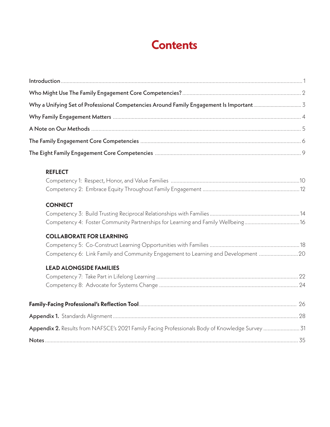#### **Contents**

| <b>REFLECT</b>                                                                                  |  |
|-------------------------------------------------------------------------------------------------|--|
|                                                                                                 |  |
|                                                                                                 |  |
| <b>CONNECT</b>                                                                                  |  |
|                                                                                                 |  |
| Competency 4: Foster Community Partnerships for Learning and Family Wellbeing16                 |  |
| <b>COLLABORATE FOR LEARNING</b>                                                                 |  |
|                                                                                                 |  |
| Competency 6: Link Family and Community Engagement to Learning and Development 20               |  |
| <b>LEAD ALONGSIDE FAMILIES</b>                                                                  |  |
|                                                                                                 |  |
|                                                                                                 |  |
|                                                                                                 |  |
|                                                                                                 |  |
| Appendix 2. Results from NAFSCE's 2021 Family Facing Professionals Body of Knowledge Survey  31 |  |
|                                                                                                 |  |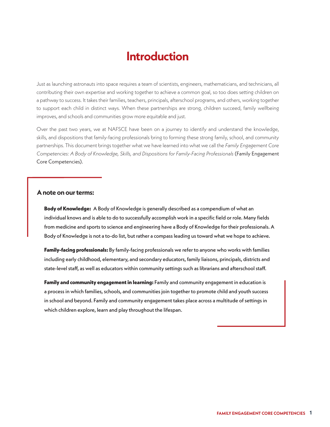#### **Introduction**

<span id="page-3-0"></span>Just as launching astronauts into space requires a team of scientists, engineers, mathematicians, and technicians, all contributing their own expertise and working together to achieve a common goal, so too does setting children on a pathway to success. It takes their families, teachers, principals, afterschool programs, and others, working together to support each child in distinct ways. When these partnerships are strong, children succeed, family wellbeing improves, and schools and communities grow more equitable and just.

Over the past two years, we at NAFSCE have been on a journey to identify and understand the knowledge, skills, and dispositions that family-facing professionals bring to forming these strong family, school, and community partnerships. This document brings together what we have learned into what we call the *Family Engagement Core Competencies: A Body of Knowledge, Skills, and Dispositions for Family-Facing Professionals* (Family Engagement Core Competencies).

#### **A note on our terms:**

**Body of Knowledge:** A Body of Knowledge is generally described as a compendium of what an individual knows and is able to do to successfully accomplish work in a specific field or role. Many fields from medicine and sports to science and engineering have a Body of Knowledge for their professionals. A Body of Knowledge is not a to-do list, but rather a compass leading us toward what we hope to achieve.

**Family-facing professionals:** By family-facing professionals we refer to anyone who works with families including early childhood, elementary, and secondary educators, family liaisons, principals, districts and state-level staff, as well as educators within community settings such as librarians and afterschool staff.

**Family and community engagement in learning:** Family and community engagement in education is a process in which families, schools, and communities join together to promote child and youth success in school and beyond. Family and community engagement takes place across a multitude of settings in which children explore, learn and play throughout the lifespan.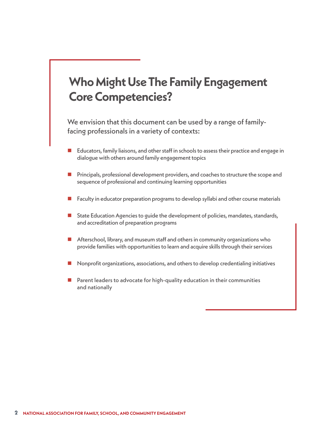### <span id="page-4-0"></span>**Who Might Use The Family Engagement Core Competencies?**

We envision that this document can be used by a range of familyfacing professionals in a variety of contexts:

- Educators, family liaisons, and other staff in schools to assess their practice and engage in dialogue with others around family engagement topics
- **n** Principals, professional development providers, and coaches to structure the scope and sequence of professional and continuing learning opportunities
- Faculty in educator preparation programs to develop syllabi and other course materials
- **n** State Education Agencies to guide the development of policies, mandates, standards, and accreditation of preparation programs
- **n** Afterschool, library, and museum staff and others in community organizations who provide families with opportunities to learn and acquire skills through their services
- n Nonprofit organizations, associations, and others to develop credentialing initiatives
- $\blacksquare$  Parent leaders to advocate for high-quality education in their communities and nationally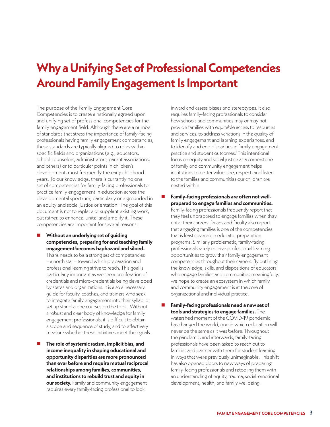### <span id="page-5-0"></span>**Why a Unifying Set of Professional Competencies Around Family Engagement Is Important**

The purpose of the Family Engagement Core Competencies is to create a nationally agreed upon and unifying set of professional competencies for the family engagement field. Although there are a number of standards that stress the importance of family-facing professionals having family engagement competencies, these standards are typically aligned to roles within specific fields and organizations (e.g., educators, school counselors, administrators, parent associations, and others) or to particular points in children's development, most frequently the early childhood years. To our knowledge, there is currently no one set of competencies for family-facing professionals to practice family engagement in education across the developmental spectrum, particularly one grounded in an equity and social justice orientation. The goal of this document is not to replace or supplant existing work, but rather, to enhance, unite, and amplify it. These competencies are important for several reasons:

- **Without an underlying set of guiding competencies, preparing for and teaching family engagement becomes haphazard and siloed.**  There needs to be a strong set of competencies – a north star – toward which preparation and professional learning strive to reach. This goal is particularly important as we see a proliferation of credentials and micro-credentials being developed by states and organizations. It is also a necessary guide for faculty, coaches, and trainers who seek to integrate family engagement into their syllabi or set up stand-alone courses on the topic. Without a robust and clear body of knowledge for family engagement professionals, it is difficult to obtain a scope and sequence of study, and to effectively measure whether these initiatives meet their goals.
- The role of systemic racism, implicit bias, and **income inequality in shaping educational and opportunity disparities are more pronounced than ever before and require mutual reciprocal relationships among families, communities, and institutions to rebuild trust and equity in our society.** Family and community engagement requires every family-facing professional to look

inward and assess biases and stereotypes. It also requires family-facing professionals to consider how schools and communities may or may not provide families with equitable access to resources and services, to address variations in the quality of family engagement and learning experiences, and to identify and end disparities in family engagement practice and student outcomes.1 This intentional focus on equity and social justice as a cornerstone of family and community engagement helps institutions to better value, see, respect, and listen to the families and communities our children are nested within.

- Family-facing professionals are often not well**prepared to engage families and communities.**  Family-facing professionals frequently report that they feel unprepared to engage families when they enter their careers. Deans and faculty also report that engaging families is one of the competencies that is least covered in educator preparation programs. Similarly problematic, family-facing professionals rarely receive professional learning opportunities to grow their family engagement competencies throughout their careers. By outlining the knowledge, skills, and dispositions of educators who engage families and communities meaningfully, we hope to create an ecosystem in which family and community engagement is at the core of organizational and individual practice.
- Family-facing professionals need a new set of **tools and strategies to engage families.** The watershed moment of the COVID-19 pandemic has changed the world, one in which education will never be the same as it was before. Throughout the pandemic, and afterwards, family-facing professionals have been asked to reach out to families and partner with them for student learning in ways that were previously unimaginable. This shift has also opened doors to new ways of preparing family-facing professionals and retooling them with an understanding of equity, trauma, social-emotional development, health, and family wellbeing.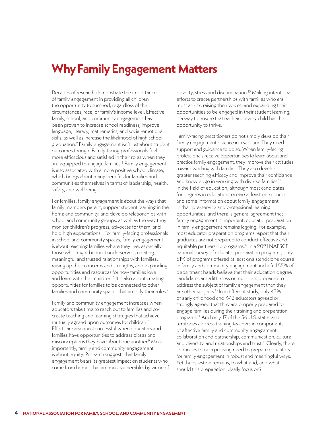#### <span id="page-6-0"></span>**Why Family Engagement Matters**

Decades of research demonstrate the importance of family engagement in providing all children the opportunity to succeed, regardless of their circumstances, race, or family's income level. Effective family, school, and community engagement has been proven to increase school readiness, improve language, literacy, mathematics, and social-emotional skills, as well as increase the likelihood of high school graduation.2 Family engagement isn't just about student outcomes though. Family-facing professionals feel more efficacious and satisfied in their roles when they are equipped to engage families.<sup>3</sup> Family engagement is also associated with a more positive school climate, which brings about many benefits for families and communities themselves in terms of leadership, health, safety, and wellbeing.<sup>4</sup>

For families, family engagement is about the ways that family members parent, support student learning in the home and community, and develop relationships with school and community groups, as well as the way they monitor children's progress, advocate for them, and hold high expectations.<sup>5</sup> For family-facing professionals in school and community spaces, family engagement is about reaching families where they live, especially those who might be most underserved, creating meaningful and trusted relationships with families, raising up their concerns and strengths, and expanding opportunities and resources for how families love and learn with their children.<sup>6</sup> It is also about creating opportunities for families to be connected to other families and community spaces that amplify their roles.<sup>7</sup>

Family and community engagement increases when educators take time to reach out to families and cocreate teaching and learning strategies that achieve mutually agreed upon outcomes for children.8 Efforts are also most successful when educators and families have opportunities to address biases and misconceptions they have about one another.<sup>9</sup> Most importantly, family and community engagement is about equity. Research suggests that family engagement bears its greatest impact on students who come from homes that are most vulnerable, by virtue of poverty, stress and discrimination.10 Making intentional efforts to create partnerships with families who are most at-risk, raising their voices, and expanding their opportunities to be engaged in their student learning, is a way to ensure that each and every child has the opportunity to thrive.

Family-facing practitioners do not simply develop their family engagement practice in a vacuum. They need support and guidance to do so. When family-facing professionals receive opportunities to learn about and practice family engagement, they improve their attitudes toward working with families. They also develop greater teaching efficacy and improve their confidence and knowledge in working with diverse families.<sup>11</sup> In the field of education, although most candidates for degrees in education receive at least one course and some information about family engagement in their pre-service and professional learning opportunities, and there is general agreement that family engagement is important, educator preparation in family engagement remains lagging. For example, most educator preparation programs report that their graduates are not prepared to conduct effective and equitable partnership programs.12 In a 2021 NAFSCE national survey of educator preparation programs, only 51% of programs offered at least one standalone course in family and community engagement and a full 55% of department heads believe that their education degree candidates are a little less or much less prepared to address the subject of family engagement than they are other subjects.<sup>13</sup> In a different study, only 43% of early childhood and K-12 educators agreed or strongly agreed that they are properly prepared to engage families during their training and preparation programs.14 And only 17 of the 56 U.S. states and territories address training teachers in components of effective family and community engagement: collaboration and partnership, communication, culture and diversity, and relationships and trust.<sup>15</sup> Clearly, there continues to be a pressing need to prepare educators for family engagement in robust and meaningful ways. Yet the question remains, to what end, and what should this preparation ideally focus on?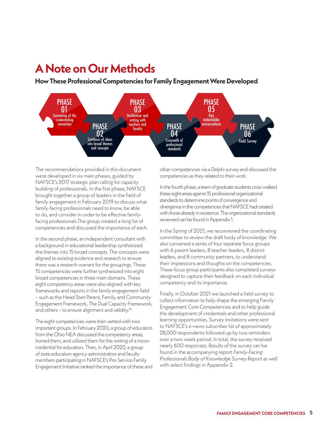#### <span id="page-7-0"></span>**A Note on Our Methods A Note on Our Methods**

**How These Professional Competencies for Family Engagement Were Developed**



The recommendations provided in this document were developed in six main phases, guided by NAFSCE's 2017 strategic plan calling for capacity building of professionals. In the first phase, NAFSCE brought together a group of leaders in the field of family engagement in February 2019 to discuss what family-facing professionals need to know, be able to do, and consider in order to be effective familyfacing professionals.The group created a long list of competencies and discussed the importance of each.

In the second phase, an independent consultant with a background in educational leadership synthesized the themes into 15 broad concepts. The concepts were aligned to existing evidence and research to ensure there was a research warrant for the groupings. These 15 competencies were further synthesized into eight broad competencies in three main domains. These eight competency areas were also aligned with key frameworks and reports in the family engagement field – such as the Head Start Parent, Family, and Community Engagement Framework, The Dual Capacity Framework, and others – to ensure alignment and validity.<sup>16</sup>

The eight competencies were then vetted with two important groups. In February 2020, a group of educators from the Ohio NEA discussed the competency areas, honed them, and utilized them for the writing of a microcredential for educators. Then, in April 2020, a group of state education agency administrators and faculty members participating in NAFSCE's Pre-Service Family Engagement Initiative ranked the importance of these and

other competencies via a Delphi survey and discussed the competencies as they related to their work.

In the fourth phase, a team of graduate students cross-walked these eight areas against 15 professional organizational standards to determine points of convergence and divergence in the competencies that NAFSCE had created with those already in existence. The organizational standards reviewed can be found in Appendix 1.

In the Spring of 2021, we reconvened the coordinating committee to review the draft body of knowledge. We also convened a series of four separate focus groups with 6 parent leaders, 8 teacher leaders, 8 district leaders, and 8 community partners, to understand their impressions and thoughts on the competencies. These focus group participants also completed surveys designed to capture their feedback on each individual competency and its importance.

Finally, in October 2021 we launched a field survey to collect information to help shape the emerging Family Engagement Core Competencies and to help guide the development of credentials and other professional learning opportunities. Survey invitations were sent to NAFSCE's e-news subscriber list of approximately 28,000 respondents followed up by two reminders over a two-week period. In total, the survey received nearly 600 responses. Results of the survey can be found in the accompanying report *Family-Facing Professionals Body of Knowledge Survey Report* as well with select findings in Appendix 2*.*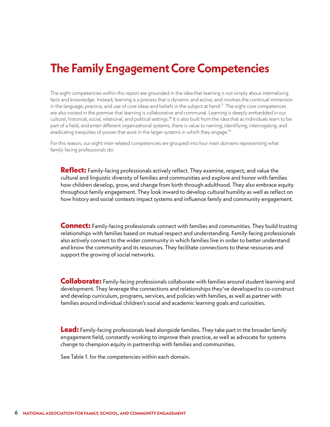#### <span id="page-8-0"></span>**The Family Engagement Core Competencies**

The eight competencies within this report are grounded in the idea that learning is not simply about internalizing facts and knowledge. Instead, learning is a process that is dynamic and active, and involves the continual immersion in the language, practice, and use of core ideas and beliefs in the subject at hand.<sup>17</sup> The eight core competences are also rooted in the premise that learning is collaborative and communal. Learning is deeply embedded in our cultural, historical, social, relational, and political settings.18 It is also built from the idea that as individuals learn to be part of a field, and enter different organizational systems, there is value to naming, identifying, interrogating, and eradicating inequities of power that exist in the larger systems in which they engage.<sup>19</sup>

For this reason, our eight inter-related competencies are grouped into four main domains representing what family-facing professionals do:

**Reflect:** Family-facing professionals actively reflect. They examine, respect, and value the cultural and linguistic diversity of families and communities and explore and honor with families how children develop, grow, and change from birth through adulthood. They also embrace equity throughout family engagement. They look inward to develop cultural humility as well as reflect on how history and social contexts impact systems and influence family and community engagement.

**Connect:** Family-facing professionals connect with families and communities. They build trusting relationships with families based on mutual respect and understanding. Family-facing professionals also actively connect to the wider community in which families live in order to better understand and know the community and its resources. They facilitate connections to these resources and support the growing of social networks.

**Collaborate:** Family-facing professionals collaborate with families around student learning and development. They leverage the connections and relationships they've developed to co-construct and develop curriculum, programs, services, and policies with families, as well as partner with families around individual children's social and academic learning goals and curiosities.

**Lead:** Family-facing professionals lead alongside families. They take part in the broader family engagement field, constantly working to improve their practice, as well as advocate for systems change to champion equity in partnership with families and communities.

See Table 1. for the competencies within each domain.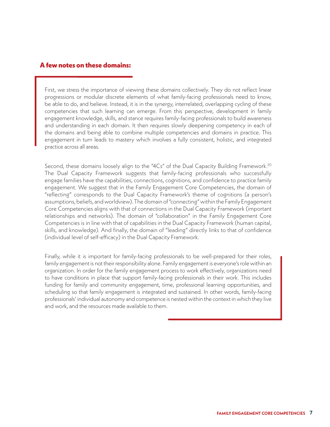#### **A few notes on these domains:**

First, we stress the importance of viewing these domains collectively. They do not reflect linear progressions or modular discrete elements of what family-facing professionals need to know, be able to do, and believe. Instead, it is in the synergy, interrelated, overlapping cycling of these competencies that such learning can emerge. From this perspective, development in family engagement knowledge, skills, and stance requires family-facing professionals to build awareness and understanding in each domain. It then requires slowly deepening competency in each of the domains and being able to combine multiple competencies and domains in practice. This engagement in turn leads to mastery which involves a fully consistent, holistic, and integrated practice across all areas.

Second, these domains loosely align to the "4Cs" of the Dual Capacity Building Framework.<sup>20</sup> The Dual Capacity Framework suggests that family-facing professionals who successfully engage families have the capabilities, connections, cognitions, and confidence to practice family engagement. We suggest that in the Family Engagement Core Competencies, the domain of "reflecting" corresponds to the Dual Capacity Framework's theme of cognitions (a person's assumptions, beliefs, and worldview). The domain of "connecting" within the Family Engagement Core Competencies aligns with that of connections in the Dual Capacity Framework (important relationships and networks). The domain of "collaboration" in the Family Engagement Core Competencies is in line with that of capabilities in the Dual Capacity Framework (human capital, skills, and knowledge). And finally, the domain of "leading" directly links to that of confidence (individual level of self-efficacy) in the Dual Capacity Framework.

Finally, while it is important for family-facing professionals to be well-prepared for their roles, family engagement is not their responsibility alone. Family engagement is everyone's role within an organization. In order for the family engagement process to work effectively, organizations need to have conditions in place that support family-facing professionals in their work. This includes funding for family and community engagement, time, professional learning opportunities, and scheduling so that family engagement is integrated and sustained. In other words, family-facing professionals' individual autonomy and competence is nested within the context in which they live and work, and the resources made available to them.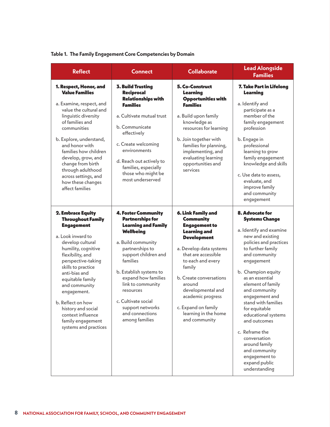#### **Table 1. The Family Engagement Core Competencies by Domain**

| <b>Reflect</b>                                                                                                                                                                                                                                                                                                                                                                        | <b>Connect</b>                                                                                                                                                                                                                                                                                                                                    | <b>Collaborate</b>                                                                                                                                                                                                                                                                                                                          | <b>Lead Alongside</b><br><b>Families</b>                                                                                                                                                                                                                                                                                                                                                                                                                                     |
|---------------------------------------------------------------------------------------------------------------------------------------------------------------------------------------------------------------------------------------------------------------------------------------------------------------------------------------------------------------------------------------|---------------------------------------------------------------------------------------------------------------------------------------------------------------------------------------------------------------------------------------------------------------------------------------------------------------------------------------------------|---------------------------------------------------------------------------------------------------------------------------------------------------------------------------------------------------------------------------------------------------------------------------------------------------------------------------------------------|------------------------------------------------------------------------------------------------------------------------------------------------------------------------------------------------------------------------------------------------------------------------------------------------------------------------------------------------------------------------------------------------------------------------------------------------------------------------------|
| 1. Respect, Honor, and<br><b>Value Families</b><br>a. Examine, respect, and<br>value the cultural and<br>linguistic diversity<br>of families and<br>communities<br>b. Explore, understand,<br>and honor with<br>families how children<br>develop, grow, and<br>change from birth<br>through adulthood<br>across settings, and<br>how these changes<br>affect families                 | <b>3. Build Trusting</b><br>Reciprocal<br><b>Relationships with</b><br><b>Families</b><br>a. Cultivate mutual trust<br>b. Communicate<br>effectively<br>c. Create welcoming<br>environments<br>d. Reach out actively to<br>families, especially<br>those who might be<br>most underserved                                                         | 5. Co-Construct<br>Learning<br><b>Opportunities with</b><br><b>Families</b><br>a. Build upon family<br>knowledge as<br>resources for learning<br>b. Join together with<br>families for planning,<br>implementing, and<br>evaluating learning<br>opportunities and<br>services                                                               | 7. Take Part in Lifelong<br><b>Learning</b><br>a. Identify and<br>participate as a<br>member of the<br>family engagement<br>profession<br>b. Engage in<br>professional<br>learning to grow<br>family engagement<br>knowledge and skills<br>c. Use data to assess,<br>evaluate, and<br>improve family<br>and community<br>engagement                                                                                                                                          |
| 2. Embrace Equity<br><b>Throughout Family</b><br><b>Engagement</b><br>a. Look inward to<br>develop cultural<br>humility, cognitive<br>flexibility, and<br>perspective-taking<br>skills to practice<br>anti-bias and<br>equitable family<br>and community<br>engagement.<br>b. Reflect on how<br>history and social<br>context influence<br>family engagement<br>systems and practices | <b>4. Foster Community</b><br><b>Partnerships for</b><br><b>Learning and Family</b><br>Wellbeing<br>a. Build community<br>partnerships to<br>support children and<br>families<br>b. Establish systems to<br>expand how families<br>link to community<br>resources<br>c. Cultivate social<br>support networks<br>and connections<br>among families | 6. Link Family and<br><b>Community</b><br><b>Engagement to</b><br><b>Learning and</b><br><b>Development</b><br>a. Develop data systems<br>that are accessible<br>to each and every<br>family<br>b. Create conversations<br>around<br>developmental and<br>academic progress<br>c. Expand on family<br>learning in the home<br>and community | 8. Advocate for<br><b>Systems Change</b><br>a. Identify and examine<br>new and existing<br>policies and practices<br>to further family<br>and community<br>engagement<br>b. Champion equity<br>as an essential<br>element of family<br>and community<br>engagement and<br>stand with families<br>for equitable<br>educational systems<br>and outcomes<br>c. Reframe the<br>conversation<br>around family<br>and community<br>engagement to<br>expand public<br>understanding |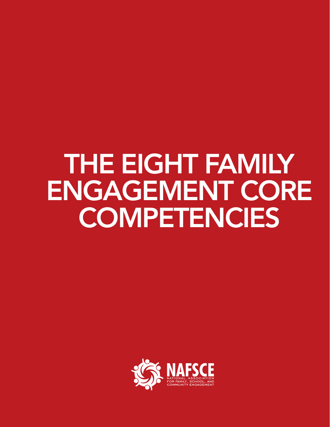# <span id="page-11-0"></span>THE EIGHT FAMILY ENGAGEMENT CORE **COMPETENCIES**

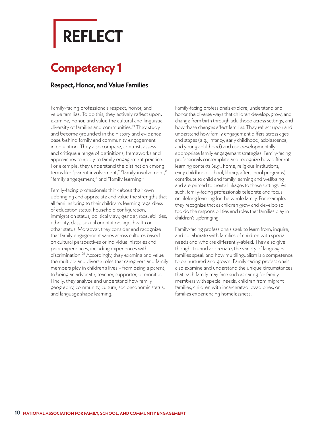# <span id="page-12-0"></span>**REFLECT**

### **Competency 1**

#### **Respect, Honor, and Value Families**

Family-facing professionals respect, honor, and value families. To do this, they actively reflect upon, examine, honor, and value the cultural and linguistic diversity of families and communities.<sup>21</sup> They study and become grounded in the history and evidence base behind family and community engagement in education. They also compare, contrast, assess and critique a range of definitions, frameworks and approaches to apply to family engagement practice. For example, they understand the distinction among terms like "parent involvement," "family involvement," "family engagement," and "family learning."

Family-facing professionals think about their own upbringing and appreciate and value the strengths that all families bring to their children's learning regardless of education status, household configuration, immigration status, political view, gender, race, abilities, ethnicity, class, sexual orientation, age, health or other status. Moreover, they consider and recognize that family engagement varies across cultures based on cultural perspectives or individual histories and prior experiences, including experiences with discrimination.22 Accordingly, they examine and value the multiple and diverse roles that caregivers and family members play in children's lives – from being a parent, to being an advocate, teacher, supporter, or monitor. Finally, they analyze and understand how family geography, community, culture, socioeconomic status, and language shape learning.

Family-facing professionals explore, understand and honor the diverse ways that children develop, grow, and change from birth through adulthood across settings, and how these changes affect families. They reflect upon and understand how family engagement differs across ages and stages (e.g., infancy, early childhood, adolescence, and young adulthood) and use developmentally appropriate family engagement strategies. Family-facing professionals contemplate and recognize how different learning contexts (e.g., home, religious institutions, early childhood, school, library, afterschool programs) contribute to child and family learning and wellbeing and are primed to create linkages to these settings. As such, family-facing professionals celebrate and focus on lifelong learning for the whole family. For example, they recognize that as children grow and develop so too do the responsibilities and roles that families play in children's upbringing.

Family-facing professionals seek to learn from, inquire, and collaborate with families of children with special needs and who are differently-abled. They also give thought to, and appreciate, the variety of languages families speak and how multilingualism is a competence to be nurtured and grown. Family-facing professionals also examine and understand the unique circumstances that each family may face such as caring for family members with special needs, children from migrant families, children with incarcerated loved ones, or families experiencing homelessness.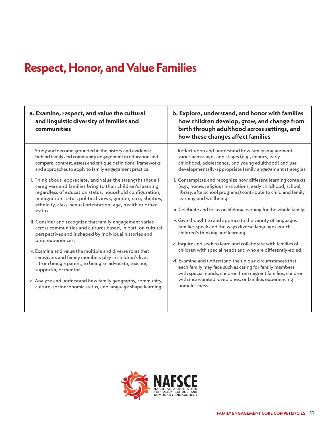### **Respect, Honor, and Value Families**

| a. Examine, respect, and value the cultural<br>and linguistic diversity of families and<br>communities                                                                                                                                                                                                                            | b. Explore, understand, and honor with families<br>how children develop, grow, and change from<br>birth through adulthood across settings, and<br>how these changes affect families                                                                                                               |
|-----------------------------------------------------------------------------------------------------------------------------------------------------------------------------------------------------------------------------------------------------------------------------------------------------------------------------------|---------------------------------------------------------------------------------------------------------------------------------------------------------------------------------------------------------------------------------------------------------------------------------------------------|
| i. Study and become grounded in the history and evidence                                                                                                                                                                                                                                                                          | i. Reflect upon and understand how family engagement                                                                                                                                                                                                                                              |
| behind family and community engagement in education and                                                                                                                                                                                                                                                                           | varies across ages and stages (e.g., infancy, early                                                                                                                                                                                                                                               |
| compare, contrast, assess and critique definitions, frameworks                                                                                                                                                                                                                                                                    | childhood, adolescence, and young adulthood) and use                                                                                                                                                                                                                                              |
| and approaches to apply to family engagement practice.                                                                                                                                                                                                                                                                            | developmentally-appropriate family engagement strategies.                                                                                                                                                                                                                                         |
| ii. Think about, appreciate, and value the strengths that all<br>caregivers and families bring to their children's learning<br>regardless of education status, household configuration,<br>immigration status, political views, gender, race, abilities,<br>ethnicity, class, sexual orientation, age, health or other<br>status. | ii. Contemplate and recognize how different learning contexts<br>(e.g., home, religious institutions, early childhood, school,<br>library, afterschool programs) contribute to child and family<br>learning and wellbeing.<br>iii. Celebrate and focus on lifelong learning for the whole family. |
| iii. Consider and recognize that family engagement varies                                                                                                                                                                                                                                                                         | iv. Give thought to and appreciate the variety of languages                                                                                                                                                                                                                                       |
| across communities and cultures based, in part, on cultural                                                                                                                                                                                                                                                                       | families speak and the ways diverse languages enrich                                                                                                                                                                                                                                              |
| perspectives and is shaped by individual histories and                                                                                                                                                                                                                                                                            | children's thinking and learning.                                                                                                                                                                                                                                                                 |
| prior experiences.                                                                                                                                                                                                                                                                                                                | v. Inquire and seek to learn and collaborate with families of                                                                                                                                                                                                                                     |
| iv. Examine and value the multiple and diverse roles that                                                                                                                                                                                                                                                                         | children with special needs and who are differently-abled.                                                                                                                                                                                                                                        |
| caregivers and family members play in children's lives                                                                                                                                                                                                                                                                            | vi. Examine and understand the unique circumstances that                                                                                                                                                                                                                                          |
| - from being a parent, to being an advocate, teacher,                                                                                                                                                                                                                                                                             | each family may face such as caring for family members                                                                                                                                                                                                                                            |
| supporter, or mentor.                                                                                                                                                                                                                                                                                                             | with special needs, children from migrant families, children                                                                                                                                                                                                                                      |
| v. Analyze and understand how family geography, community,                                                                                                                                                                                                                                                                        | with incarcerated loved ones, or families experiencing                                                                                                                                                                                                                                            |
| culture, socioeconomic status, and language shape learning.                                                                                                                                                                                                                                                                       | homelessness.                                                                                                                                                                                                                                                                                     |

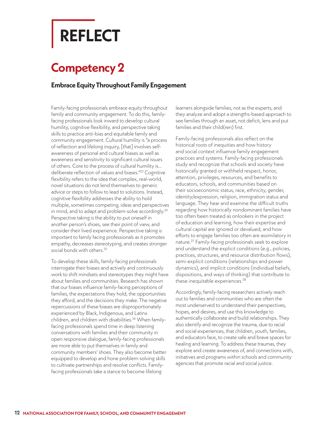# <span id="page-14-0"></span>**REFLECT**

### **Competency 2**

#### **Embrace Equity Throughout Family Engagement**

Family-facing professionals embrace equity throughout family and community engagement. To do this, familyfacing professionals look inward to develop cultural humility, cognitive flexibility, and perspective taking skills to practice anti-bias and equitable family and community engagement. Cultural humility is "a process of reflection and lifelong inquiry, [that] involves selfawareness of personal and cultural biases as well as awareness and sensitivity to significant cultural issues of others. Core to the process of cultural humility is… deliberate reflection of values and biases."23 Cognitive flexibility refers to the idea that complex, real-world, novel situations do not lend themselves to generic advice or steps to follow to lead to solutions. Instead, cognitive flexibility addresses the ability to hold multiple, sometimes competing, ideas and perspectives in mind, and to adapt and problem-solve accordingly.<sup>24</sup> Perspective taking is the ability to put oneself in another person's shoes, see their point of view, and consider their lived experience. Perspective taking is important to family facing professionals as it promotes empathy, decreases stereotyping, and creates stronger social bonds with others.<sup>25</sup>

To develop these skills, family-facing professionals interrogate their biases and actively and continuously work to shift mindsets and stereotypes they might have about families and communities. Research has shown that our biases influence family-facing perceptions of families, the expectations they hold, the opportunities they afford, and the decisions they make. The negative repercussions of these biases are disproportionately experienced by Black, Indigenous, and Latinx children, and children with disabilities.<sup>26</sup> When familyfacing professionals spend time in deep listening conversations with families and their community in open responsive dialogue, family-facing professionals are more able to put themselves in family and community members' shoes. They also become better equipped to develop and hone problem-solving skills to cultivate partnerships and resolve conflicts. Familyfacing professionals take a stance to become lifelong

learners alongside families, not as the experts, and they analyze and adopt a strengths-based approach to see families through an asset, not deficit, lens and put families and their child(ren) first.

Family-facing professionals also reflect on the historical roots of inequities and how history and social context influence family engagement practices and systems. Family-facing professionals study and recognize that schools and society have historically granted or withheld respect, honor, attention, privileges, resources, and benefits to educators, schools, and communities based on their socioeconomic status, race, ethnicity, gender, identity/expression, religion, immigration status and language. They hear and examine the difficult truths regarding how historically nondominant families have too often been treated as onlookers in the project of education and learning, how their expertise and cultural capital are ignored or devalued, and how efforts to engage families too often are assimilatory in nature.27 Family-facing professionals seek to explore and understand the explicit conditions (e.g., policies, practices, structures, and resource distribution flows), semi-explicit conditions (relationships and power dynamics), and implicit conditions (individual beliefs, dispositions, and ways of thinking) that contribute to these inequitable experiences.<sup>28</sup>

Accordingly, family-facing researchers actively reach out to families and communities who are often the most underserved to understand their perspectives, hopes, and desires, and use this knowledge to authentically collaborate and build relationships. They also identify and recognize the trauma, due to racial and social experiences, that children, youth, families, and educators face, to create safe and brave spaces for healing and learning. To address these traumas, they explore and create awareness of, and connections with, initiatives and programs within schools and community agencies that promote racial and social justice.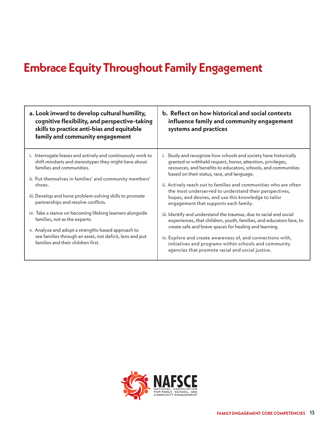### **Embrace Equity Throughout Family Engagement**

| a. Look inward to develop cultural humility,<br>cognitive flexibility, and perspective-taking<br>skills to practice anti-bias and equitable<br>family and community engagement                                                                                                                                         | b. Reflect on how historical and social contexts<br>influence family and community engagement<br>systems and practices                                                                                                                                                                                                                                                                                                                                                        |
|------------------------------------------------------------------------------------------------------------------------------------------------------------------------------------------------------------------------------------------------------------------------------------------------------------------------|-------------------------------------------------------------------------------------------------------------------------------------------------------------------------------------------------------------------------------------------------------------------------------------------------------------------------------------------------------------------------------------------------------------------------------------------------------------------------------|
| i. Interrogate biases and actively and continuously work to<br>shift mindsets and stereotypes they might have about<br>families and communities.<br>ii. Put themselves in families' and community members'<br>shoes.<br>iii. Develop and hone problem-solving skills to promote<br>partnerships and resolve conflicts. | i. Study and recognize how schools and society have historically<br>granted or withheld respect, honor, attention, privileges,<br>resources, and benefits to educators, schools, and communities<br>based on their status, race, and language.<br>ii. Actively reach out to families and communities who are often<br>the most underserved to understand their perspectives,<br>hopes, and desires, and use this knowledge to tailor<br>engagement that supports each family. |
| iv. Take a stance on becoming lifelong learners alongside<br>families, not as the experts.<br>v. Analyze and adopt a strengths-based approach to<br>see families through an asset, not deficit, lens and put<br>families and their children first.                                                                     | iii. Identify and understand the traumas, due to racial and social<br>experiences, that children, youth, families, and educators face, to<br>create safe and brave spaces for healing and learning.<br>iv. Explore and create awareness of, and connections with,<br>initiatives and programs within schools and community<br>agencies that promote racial and social justice.                                                                                                |

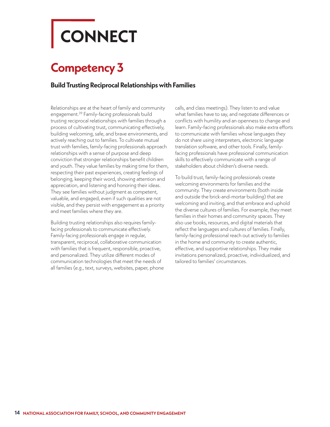# <span id="page-16-0"></span>**CONNECT**

### **Competency 3**

#### **Build Trusting Reciprocal Relationships with Families**

Relationships are at the heart of family and community engagement.29 Family-facing professionals build trusting reciprocal relationships with families through a process of cultivating trust, communicating effectively, building welcoming, safe, and brave environments, and actively reaching out to families. To cultivate mutual trust with families, family-facing professionals approach relationships with a sense of purpose and deep conviction that stronger relationships benefit children and youth. They value families by making time for them, respecting their past experiences, creating feelings of belonging, keeping their word, showing attention and appreciation, and listening and honoring their ideas. They see families without judgment as competent, valuable, and engaged, even if such qualities are not visible, and they persist with engagement as a priority and meet families where they are.

Building trusting relationships also requires familyfacing professionals to communicate effectively. Family-facing professionals engage in regular, transparent, reciprocal, collaborative communication with families that is frequent, responsible, proactive, and personalized. They utilize different modes of communication technologies that meet the needs of all families (e.g., text, surveys, websites, paper, phone calls, and class meetings). They listen to and value what families have to say, and negotiate differences or conflicts with humility and an openness to change and learn. Family-facing professionals also make extra efforts to communicate with families whose languages they do not share using interpreters, electronic language translation software, and other tools. Finally, familyfacing professionals have professional communication skills to effectively communicate with a range of stakeholders about children's diverse needs.

To build trust, family-facing professionals create welcoming environments for families and the community. They create environments (both inside and outside the brick-and-mortar building) that are welcoming and inviting, and that embrace and uphold the diverse cultures of families. For example, they meet families in their homes and community spaces. They also use books, resources, and digital materials that reflect the languages and cultures of families. Finally, family-facing professional reach out actively to families in the home and community to create authentic, effective, and supportive relationships. They make invitations personalized, proactive, individualized, and tailored to families' circumstances.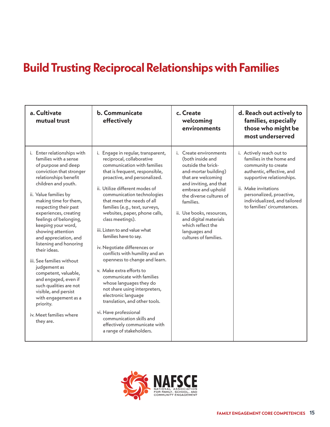### **Build Trusting Reciprocal Relationships with Families**

| a. Cultivate<br>mutual trust                                                                                                                                                                                                                                                                                                                                                                                                                                                                                                                                                                                                    | <b>b.</b> Communicate<br>effectively                                                                                                                                                                                                                                                                                                                                                                                                                                                                                                                                                                                                                                                                                                                                                                                | c. Create<br>welcoming<br>environments                                                                                                                                                                                                                                                                                      | d. Reach out actively to<br>families, especially<br>those who might be<br>most underserved                                                                                                                                                               |
|---------------------------------------------------------------------------------------------------------------------------------------------------------------------------------------------------------------------------------------------------------------------------------------------------------------------------------------------------------------------------------------------------------------------------------------------------------------------------------------------------------------------------------------------------------------------------------------------------------------------------------|---------------------------------------------------------------------------------------------------------------------------------------------------------------------------------------------------------------------------------------------------------------------------------------------------------------------------------------------------------------------------------------------------------------------------------------------------------------------------------------------------------------------------------------------------------------------------------------------------------------------------------------------------------------------------------------------------------------------------------------------------------------------------------------------------------------------|-----------------------------------------------------------------------------------------------------------------------------------------------------------------------------------------------------------------------------------------------------------------------------------------------------------------------------|----------------------------------------------------------------------------------------------------------------------------------------------------------------------------------------------------------------------------------------------------------|
| i. Enter relationships with<br>families with a sense<br>of purpose and deep<br>conviction that stronger<br>relationships benefit<br>children and youth.<br>ii. Value families by<br>making time for them,<br>respecting their past<br>experiences, creating<br>feelings of belonging,<br>keeping your word,<br>showing attention<br>and appreciation, and<br>listening and honoring<br>their ideas.<br>iii. See families without<br>judgement as<br>competent, valuable,<br>and engaged, even if<br>such qualities are not<br>visible, and persist<br>with engagement as a<br>priority.<br>iv. Meet families where<br>they are. | Engage in regular, transparent,<br>i.<br>reciprocal, collaborative<br>communication with families<br>that is frequent, responsible,<br>proactive, and personalized.<br>ii. Utilize different modes of<br>communication technologies<br>that meet the needs of all<br>families (e.g., text, surveys,<br>websites, paper, phone calls,<br>class meetings).<br>iii. Listen to and value what<br>families have to say.<br>iv. Negotiate differences or<br>conflicts with humility and an<br>openness to change and learn.<br>v. Make extra efforts to<br>communicate with families<br>whose languages they do<br>not share using interpreters,<br>electronic language<br>translation, and other tools.<br>vi. Have professional<br>communication skills and<br>effectively communicate with<br>a range of stakeholders. | i. Create environments<br>(both inside and<br>outside the brick-<br>and-mortar building)<br>that are welcoming<br>and inviting, and that<br>embrace and uphold<br>the diverse cultures of<br>families.<br>ii. Use books, resources,<br>and digital materials<br>which reflect the<br>languages and<br>cultures of families. | i. Actively reach out to<br>families in the home and<br>community to create<br>authentic, effective, and<br>supportive relationships.<br>ii. Make invitations<br>personalized, proactive,<br>individualized, and tailored<br>to families' circumstances. |

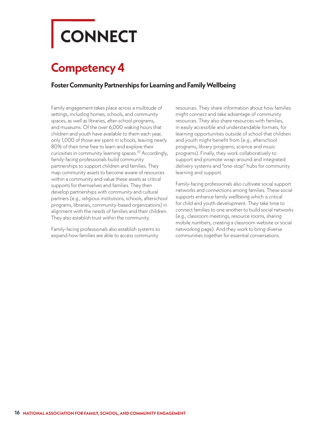# <span id="page-18-0"></span>**CONNECT**

### **Competency 4**

#### **Foster Community Partnerships for Learning and Family Wellbeing**

Family engagement takes place across a multitude of settings, including homes, schools, and community spaces, as well as libraries, after-school programs, and museums. Of the over 6,000 waking hours that children and youth have available to them each year, only 1,000 of those are spent in schools, leaving nearly 80% of their time free to learn and explore their curiosities in community learning spaces.<sup>30</sup> Accordingly, family-facing professionals build community partnerships to support children and families. They map community assets to become aware of resources within a community and value these assets as critical supports for themselves and families. They then develop partnerships with community and cultural partners (e.g., religious institutions, schools, afterschool programs, libraries, community-based organizations) in alignment with the needs of families and their children. They also establish trust within the community.

Family-facing professionals also establish systems to expand how families are able to access community

resources. They share information about how families might connect and take advantage of community resources. They also share resources with families, in easily accessible and understandable formats, for learning opportunities outside of school that children and youth might benefit from (e.g., afterschool programs, library programs, science and music programs). Finally, they work collaboratively to support and promote wrap-around and integrated delivery systems and "one-stop" hubs for community learning and support.

Family-facing professionals also cultivate social support networks and connections among families. These social supports enhance family wellbeing which is critical for child and youth development. They take time to connect families to one another to build social networks (e.g., classroom meetings, resource rooms, sharing mobile numbers, creating a classroom website or social networking page). And they work to bring diverse communities together for essential conversations.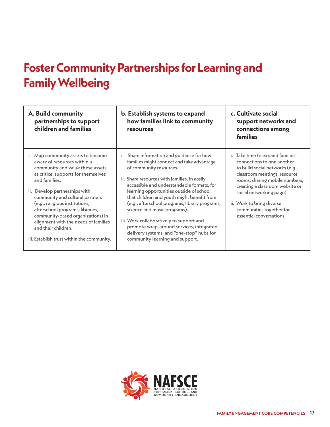### **Foster Community Partnerships for Learning and Family Wellbeing**

| A. Build community<br>partnerships to support<br>children and families                                                                                                                                                                                                                                                                                                                                                                                      | b. Establish systems to expand<br>how families link to community<br>resources                                                                                                                                                                                                                                                                                                                                                                                                                                                                                       | c. Cultivate social<br>support networks and<br>connections among<br><b>families</b>                                                                                                                                                                                                                                     |
|-------------------------------------------------------------------------------------------------------------------------------------------------------------------------------------------------------------------------------------------------------------------------------------------------------------------------------------------------------------------------------------------------------------------------------------------------------------|---------------------------------------------------------------------------------------------------------------------------------------------------------------------------------------------------------------------------------------------------------------------------------------------------------------------------------------------------------------------------------------------------------------------------------------------------------------------------------------------------------------------------------------------------------------------|-------------------------------------------------------------------------------------------------------------------------------------------------------------------------------------------------------------------------------------------------------------------------------------------------------------------------|
| i. Map community assets to become<br>aware of resources within a<br>community and value these assets<br>as critical supports for themselves<br>and families.<br>Develop partnerships with<br>ii.<br>community and cultural partners<br>(e.g., religious institutions,<br>afterschool programs, libraries,<br>community-based organizations) in<br>alignment with the needs of families<br>and their children.<br>iii. Establish trust within the community. | i. Share information and guidance for how<br>families might connect and take advantage<br>of community resources.<br>ii. Share resources with families, in easily<br>accessible and understandable formats, for<br>learning opportunities outside of school<br>that children and youth might benefit from<br>(e.g., afterschool programs, library programs,<br>science and music programs).<br>iii. Work collaboratively to support and<br>promote wrap-around services, integrated<br>delivery systems, and "one-stop" hubs for<br>community learning and support. | i. Take time to expand families'<br>connections to one another<br>to build social networks (e.g.,<br>classroom meetings, resource<br>rooms, sharing mobile numbers,<br>creating a classroom website or<br>social networking page).<br>ii. Work to bring diverse<br>communities together for<br>essential conversations. |

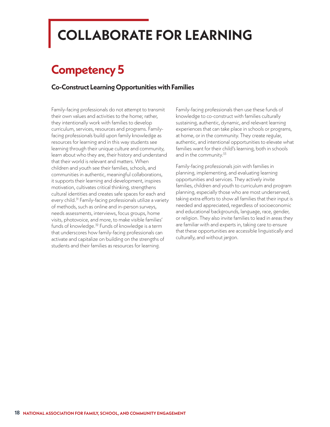# <span id="page-20-0"></span>**COLLABORATE FOR LEARNING**

### **Competency 5**

#### **Co-Construct Learning Opportunities with Families**

Family-facing professionals do not attempt to transmit their own values and activities to the home; rather, they intentionally work with families to develop curriculum, services, resources and programs. Familyfacing professionals build upon family knowledge as resources for learning and in this way students see learning through their unique culture and community, learn about who they are, their history and understand that their world is relevant and matters. When children and youth see their families, schools, and communities in authentic, meaningful collaborations, it supports their learning and development, inspires motivation, cultivates critical thinking, strengthens cultural identities and creates safe spaces for each and every child.<sup>31</sup> Family-facing professionals utilize a variety of methods, such as online and in-person surveys, needs assessments, interviews, focus groups, home visits, photovoice, and more, to make visible families' funds of knowledge.<sup>32</sup> Funds of knowledge is a term that underscores how family-facing professionals can activate and capitalize on building on the strengths of students and their families as resources for learning.

Family-facing professionals then use these funds of knowledge to co-construct with families culturally sustaining, authentic, dynamic, and relevant learning experiences that can take place in schools or programs, at home, or in the community. They create regular, authentic, and intentional opportunities to elevate what families want for their child's learning, both in schools and in the community.<sup>33</sup>

Family-facing professionals join with families in planning, implementing, and evaluating learning opportunities and services. They actively invite families, children and youth to curriculum and program planning, especially those who are most underserved, taking extra efforts to show all families that their input is needed and appreciated, regardless of socioeconomic and educational backgrounds, language, race, gender, or religion. They also invite families to lead in areas they are familiar with and experts in, taking care to ensure that these opportunities are accessible linguistically and culturally, and without jargon.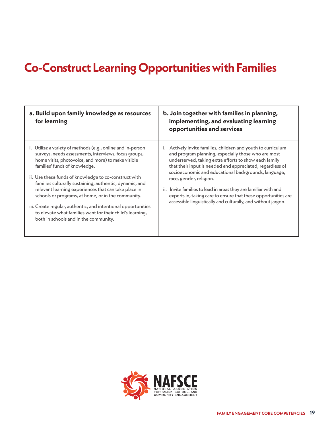### **Co-Construct Learning Opportunities with Families**

| a. Build upon family knowledge as resources<br>for learning                                                                                                                                                                                                                                                                                                                                                                                   | b. Join together with families in planning,<br>implementing, and evaluating learning<br>opportunities and services                                                                                                                                                                                                                                                                                                                                                                                                                  |
|-----------------------------------------------------------------------------------------------------------------------------------------------------------------------------------------------------------------------------------------------------------------------------------------------------------------------------------------------------------------------------------------------------------------------------------------------|-------------------------------------------------------------------------------------------------------------------------------------------------------------------------------------------------------------------------------------------------------------------------------------------------------------------------------------------------------------------------------------------------------------------------------------------------------------------------------------------------------------------------------------|
| i. Utilize a variety of methods (e.g., online and in-person<br>surveys, needs assessments, interviews, focus groups,<br>home visits, photovoice, and more) to make visible<br>families' funds of knowledge.<br>ii. Use these funds of knowledge to co-construct with<br>families culturally sustaining, authentic, dynamic, and<br>relevant learning experiences that can take place in<br>schools or programs, at home, or in the community. | i. Actively invite families, children and youth to curriculum<br>and program planning, especially those who are most<br>underserved, taking extra efforts to show each family<br>that their input is needed and appreciated, regardless of<br>socioeconomic and educational backgrounds, language,<br>race, gender, religion.<br>ii. Invite families to lead in areas they are familiar with and<br>experts in, taking care to ensure that these opportunities are<br>accessible linguistically and culturally, and without jargon. |
| iii. Create regular, authentic, and intentional opportunities<br>to elevate what families want for their child's learning,<br>both in schools and in the community.                                                                                                                                                                                                                                                                           |                                                                                                                                                                                                                                                                                                                                                                                                                                                                                                                                     |

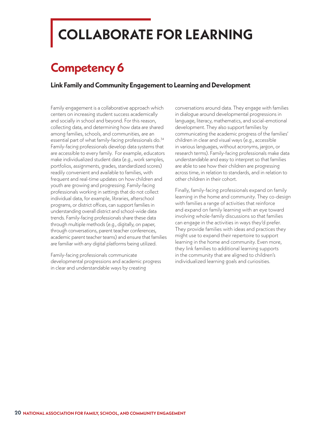## <span id="page-22-0"></span>**COLLABORATE FOR LEARNING**

### **Competency 6**

#### **Link Family and Community Engagement to Learning and Development**

Family engagement is a collaborative approach which centers on increasing student success academically and socially in school and beyond. For this reason, collecting data, and determining how data are shared among families, schools, and communities, are an essential part of what family-facing professionals do.<sup>34</sup> Family-facing professionals develop data systems that are accessible to every family. For example, educators make individualized student data (e.g., work samples, portfolios, assignments, grades, standardized scores) readily convenient and available to families, with frequent and real-time updates on how children and youth are growing and progressing. Family-facing professionals working in settings that do not collect individual data, for example, libraries, afterschool programs, or district offices, can support families in understanding overall district and school-wide data trends. Family-facing professionals share these data through multiple methods (e.g., digitally, on paper, through conversations, parent teacher conferences, academic parent teacher teams) and ensure that families are familiar with any digital platforms being utilized.

Family-facing professionals communicate developmental progressions and academic progress in clear and understandable ways by creating

conversations around data. They engage with families in dialogue around developmental progressions in language, literacy, mathematics, and social-emotional development. They also support families by communicating the academic progress of the families' children in clear and visual ways (e.g., accessible in various languages, without acronyms, jargon, or research terms). Family-facing professionals make data understandable and easy to interpret so that families are able to see how their children are progressing across time, in relation to standards, and in relation to other children in their cohort.

Finally, family-facing professionals expand on family learning in the home and community. They co-design with families a range of activities that reinforce and expand on family learning with an eye toward involving whole-family discussions so that families can engage in the activities in ways they'd prefer. They provide families with ideas and practices they might use to expand their repertoire to support learning in the home and community. Even more, they link families to additional learning supports in the community that are aligned to children's individualized learning goals and curiosities.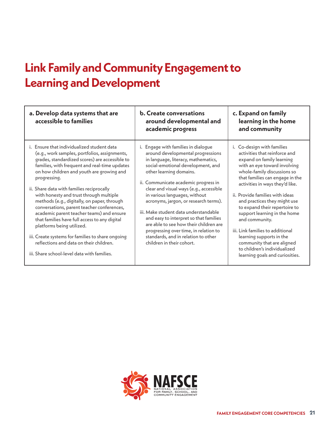### **Link Family and Community Engagement to Learning and Development**

| a. Develop data systems that are<br>accessible to families                                                                                                                                                                                                                                                                                                                                                                                                                                                                                                                                                                                                                                                                 | <b>b.</b> Create conversations<br>around developmental and<br>academic progress                                                                                                                                                                                                                                                                                                                                                                                                                                                                                                        | c. Expand on family<br>learning in the home<br>and community                                                                                                                                                                                                                                                                                                                                                                                                                                                                                                |
|----------------------------------------------------------------------------------------------------------------------------------------------------------------------------------------------------------------------------------------------------------------------------------------------------------------------------------------------------------------------------------------------------------------------------------------------------------------------------------------------------------------------------------------------------------------------------------------------------------------------------------------------------------------------------------------------------------------------------|----------------------------------------------------------------------------------------------------------------------------------------------------------------------------------------------------------------------------------------------------------------------------------------------------------------------------------------------------------------------------------------------------------------------------------------------------------------------------------------------------------------------------------------------------------------------------------------|-------------------------------------------------------------------------------------------------------------------------------------------------------------------------------------------------------------------------------------------------------------------------------------------------------------------------------------------------------------------------------------------------------------------------------------------------------------------------------------------------------------------------------------------------------------|
| i. Ensure that individualized student data<br>(e.g., work samples, portfolios, assignments,<br>grades, standardized scores) are accessible to<br>families, with frequent and real-time updates<br>on how children and youth are growing and<br>progressing.<br>ii. Share data with families reciprocally<br>with honesty and trust through multiple<br>methods (e.g., digitally, on paper, through<br>conversations, parent teacher conferences,<br>academic parent teacher teams) and ensure<br>that families have full access to any digital<br>platforms being utilized.<br>iii. Create systems for families to share ongoing<br>reflections and data on their children.<br>iii. Share school-level data with families. | i. Engage with families in dialogue<br>around developmental progressions<br>in language, literacy, mathematics,<br>social-emotional development, and<br>other learning domains.<br>ii. Communicate academic progress in<br>clear and visual ways (e.g., accessible<br>in various languages, without<br>acronyms, jargon, or research terms).<br>iii. Make student data understandable<br>and easy to interpret so that families<br>are able to see how their children are<br>progressing over time, in relation to<br>standards, and in relation to other<br>children in their cohort. | i. Co-design with families<br>activities that reinforce and<br>expand on family learning<br>with an eye toward involving<br>whole-family discussions so<br>that families can engage in the<br>activities in ways they'd like.<br><i>ii.</i> Provide families with ideas<br>and practices they might use<br>to expand their repertoire to<br>support learning in the home<br>and community.<br>iii. Link families to additional<br>learning supports in the<br>community that are aligned<br>to children's individualized<br>learning goals and curiosities. |

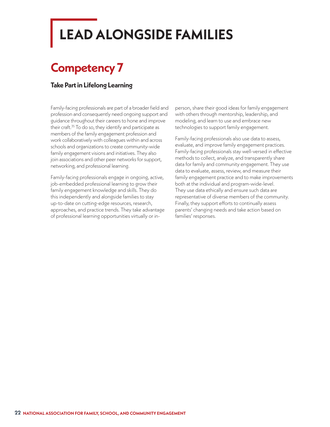## <span id="page-24-0"></span>**LEAD ALONGSIDE FAMILIES**

### **Competency 7**

#### **Take Part in Lifelong Learning**

Family-facing professionals are part of a broader field and profession and consequently need ongoing support and guidance throughout their careers to hone and improve their craft.<sup>35</sup> To do so, they identify and participate as members of the family engagement profession and work collaboratively with colleagues within and across schools and organizations to create community-wide family engagement visions and initiatives. They also join associations and other peer networks for support, networking, and professional learning.

Family-facing professionals engage in ongoing, active, job-embedded professional learning to grow their family engagement knowledge and skills. They do this independently and alongside families to stay up-to-date on cutting-edge resources, research, approaches, and practice trends. They take advantage of professional learning opportunities virtually or inperson, share their good ideas for family engagement with others through mentorship, leadership, and modeling, and learn to use and embrace new technologies to support family engagement.

Family-facing professionals also use data to assess, evaluate, and improve family engagement practices. Family-facing professionals stay well-versed in effective methods to collect, analyze, and transparently share data for family and community engagement. They use data to evaluate, assess, review, and measure their family engagement practice and to make improvements both at the individual and program-wide-level. They use data ethically and ensure such data are representative of diverse members of the community. Finally, they support efforts to continually assess parents' changing needs and take action based on families' responses.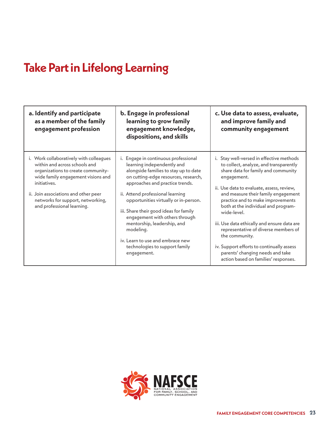### **Take Part in Lifelong Learning**

| a. Identify and participate<br>as a member of the family<br>engagement profession                                                                                                                                                                                               | b. Engage in professional<br>learning to grow family<br>engagement knowledge,<br>dispositions, and skills                                                                                                                                                                                                                                                                                   | c. Use data to assess, evaluate,<br>and improve family and<br>community engagement                                                                                                                                                                                                                                                                                                                                               |
|---------------------------------------------------------------------------------------------------------------------------------------------------------------------------------------------------------------------------------------------------------------------------------|---------------------------------------------------------------------------------------------------------------------------------------------------------------------------------------------------------------------------------------------------------------------------------------------------------------------------------------------------------------------------------------------|----------------------------------------------------------------------------------------------------------------------------------------------------------------------------------------------------------------------------------------------------------------------------------------------------------------------------------------------------------------------------------------------------------------------------------|
| i. Work collaboratively with colleagues<br>within and across schools and<br>organizations to create community-<br>wide family engagement visions and<br>initiatives.<br>ii. Join associations and other peer<br>networks for support, networking,<br>and professional learning. | i. Engage in continuous professional<br>learning independently and<br>alongside families to stay up to date<br>on cutting-edge resources, research,<br>approaches and practice trends.<br>ii. Attend professional learning<br>opportunities virtually or in-person.<br>iii. Share their good ideas for family<br>engagement with others through<br>mentorship, leadership, and<br>modeling. | i. Stay well-versed in effective methods<br>to collect, analyze, and transparently<br>share data for family and community<br>engagement.<br>ii. Use data to evaluate, assess, review,<br>and measure their family engagement<br>practice and to make improvements<br>both at the individual and program-<br>wide-level.<br>iii. Use data ethically and ensure data are<br>representative of diverse members of<br>the community. |
|                                                                                                                                                                                                                                                                                 | iv. Learn to use and embrace new<br>technologies to support family<br>engagement.                                                                                                                                                                                                                                                                                                           | iv. Support efforts to continually assess<br>parents' changing needs and take<br>action based on families' responses.                                                                                                                                                                                                                                                                                                            |

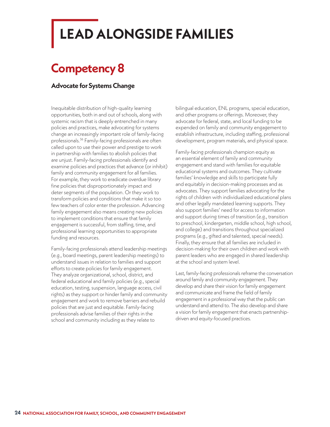## <span id="page-26-0"></span>**LEAD ALONGSIDE FAMILIES**

### **Competency 8**

#### **Advocate for Systems Change**

Inequitable distribution of high-quality learning opportunities, both in and out of schools, along with systemic racism that is deeply entrenched in many policies and practices, make advocating for systems change an increasingly important role of family-facing professionals.36 Family-facing professionals are often called upon to use their power and prestige to work in partnership with families to abolish policies that are unjust. Family-facing professionals identify and examine policies and practices that advance (or inhibit) family and community engagement for all families. For example, they work to eradicate overdue library fine policies that disproportionately impact and deter segments of the population. Or they work to transform policies and conditions that make it so too few teachers of color enter the profession. Advancing family engagement also means creating new policies to implement conditions that ensure that family engagement is successful, from staffing, time, and professional learning opportunities to appropriate funding and resources.

Family-facing professionals attend leadership meetings (e.g., board meetings, parent leadership meetings) to understand issues in relation to families and support efforts to create policies for family engagement. They analyze organizational, school, district, and federal educational and family policies (e.g., special education, testing, suspension, language access, civil rights) as they support or hinder family and community engagement and work to remove barriers and rebuild policies that are just and equitable. Family-facing professionals advise families of their rights in the school and community including as they relate to

bilingual education, ENL programs, special education, and other programs or offerings. Moreover, they advocate for federal, state, and local funding to be expended on family and community engagement to establish infrastructure, including staffing, professional development, program materials, and physical space.

Family-facing professionals champion equity as an essential element of family and community engagement and stand with families for equitable educational systems and outcomes. They cultivate families' knowledge and skills to participate fully and equitably in decision-making processes and as advocates. They support families advocating for the rights of children with individualized educational plans and other legally mandated learning supports. They also support families' need for access to information and support during times of transition (e.g., transition to preschool, kindergarten, middle school, high school, and college) and transitions throughout specialized programs (e.g., gifted and talented, special needs). Finally, they ensure that all families are included in decision-making for their own children and work with parent leaders who are engaged in shared leadership at the school and system level.

Last, family-facing professionals reframe the conversation around family and community engagement. They develop and share their vision for family engagement and communicate and frame the field of family engagement in a professional way that the public can understand and attend to. The also develop and share a vision for family engagement that enacts partnershipdriven and equity-focused practices.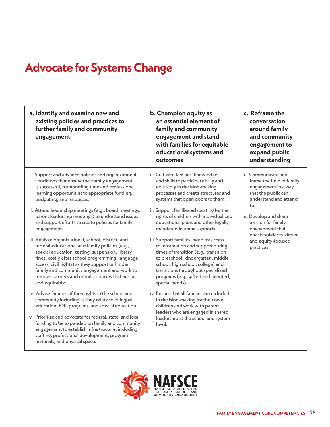### **Advocate for Systems Change**

| a. Identify and examine new and<br>existing policies and practices to<br>further family and community<br>engagement                                                                                                                                                                                                                                                                   | b. Champion equity as<br>an essential element of<br>family and community<br>engagement and stand<br>with families for equitable<br>educational systems and<br>outcomes                                                                                                                           | c. Reframe the<br>conversation<br>around family<br>and community<br>engagement to<br>expand public<br>understanding           |
|---------------------------------------------------------------------------------------------------------------------------------------------------------------------------------------------------------------------------------------------------------------------------------------------------------------------------------------------------------------------------------------|--------------------------------------------------------------------------------------------------------------------------------------------------------------------------------------------------------------------------------------------------------------------------------------------------|-------------------------------------------------------------------------------------------------------------------------------|
| i. Support and advance policies and organizational<br>conditions that ensure that family engagement<br>is successful, from staffing time and professional<br>learning opportunities to appropriate funding,<br>budgeting, and resources.                                                                                                                                              | i. Cultivate families' knowledge<br>and skills to participate fully and<br>equitably in decision-making<br>processes and create structures and<br>systems that open doors to them.                                                                                                               | i. Communicate and<br>frame the field of family<br>engagement in a way<br>that the public can<br>understand and attend<br>to. |
| ii. Attend leadership meetings (e.g., board meetings,<br>parent leadership meetings) to understand issues<br>and support efforts to create policies for family<br>engagement.                                                                                                                                                                                                         | ii. Support families advocating for the<br>rights of children with individualized<br>educational plans and other legally<br>mandated learning supports.                                                                                                                                          | ii. Develop and share<br>a vision for family<br>engagement that<br>enacts solidarity-driven                                   |
| iii. Analyze organizational, school, district, and<br>federal educational and family policies (e.g.,<br>special education, testing, suspension, library<br>fines, costly after school programming, language<br>access, civil rights) as they support or hinder<br>family and community engagement and work to<br>remove barriers and rebuild policies that are just<br>and equitable. | iii. Support families' need for access<br>to information and support during<br>times of transition (e.g., transition<br>to preschool, kindergarten, middle<br>school, high school, college) and<br>transitions throughout specialized<br>programs (e.g., gifted and talented,<br>special needs). | and equity-focused<br>practices.                                                                                              |
| iv. Advise families of their rights in the school and<br>community including as they relate to bilingual<br>education, ENL programs, and special education.                                                                                                                                                                                                                           | iv. Ensure that all families are included<br>in decision-making for their own<br>children and work with parent                                                                                                                                                                                   |                                                                                                                               |
| v. Prioritize and advocate for federal, state, and local<br>funding to be expended on family and community<br>engagement to establish infrastructure, including<br>staffing, professional development, program<br>materials, and physical space.                                                                                                                                      | leaders who are engaged in shared<br>leadership at the school and system<br>level.                                                                                                                                                                                                               |                                                                                                                               |

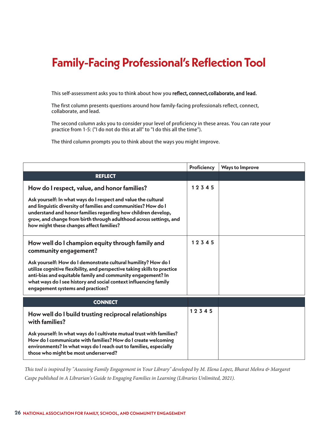### <span id="page-28-0"></span>**Family-Facing Professional's Reflection Tool**

This self-assessment asks you to think about how you reflect, connect, collaborate, and lead.

The first column presents questions around how family-facing professionals reflect, connect, collaborate, and lead.

The second column asks you to consider your level of proficiency in these areas. You can rate your practice from 1-5: ("I do not do this at all" to "I do this all the time").

The third column prompts you to think about the ways you might improve.

|                                                                                                                                                                                                                                                                                                                     | Proficiency | <b>Ways to Improve</b> |
|---------------------------------------------------------------------------------------------------------------------------------------------------------------------------------------------------------------------------------------------------------------------------------------------------------------------|-------------|------------------------|
| <b>REFLECT</b>                                                                                                                                                                                                                                                                                                      |             |                        |
| How do I respect, value, and honor families?                                                                                                                                                                                                                                                                        | 12345       |                        |
| Ask yourself: In what ways do I respect and value the cultural<br>and linguistic diversity of families and communities? How do I<br>understand and honor families regarding how children develop,<br>grow, and change from birth through adulthood across settings, and<br>how might these changes affect families? |             |                        |
| How well do I champion equity through family and<br>community engagement?                                                                                                                                                                                                                                           | 12345       |                        |
| Ask yourself: How do I demonstrate cultural humility? How do I<br>utilize cognitive flexibility, and perspective taking skills to practice<br>anti-bias and equitable family and community engagement? In<br>what ways do I see history and social context influencing family<br>engagement systems and practices?  |             |                        |
| <b>CONNECT</b>                                                                                                                                                                                                                                                                                                      |             |                        |
| How well do I build trusting reciprocal relationships<br>with families?                                                                                                                                                                                                                                             | 12345       |                        |
| Ask yourself: In what ways do I cultivate mutual trust with families?<br>How do I communicate with families? How do I create welcoming<br>environments? In what ways do I reach out to families, especially<br>those who might be most underserved?                                                                 |             |                        |

*This tool is inspired by "Assessing Family Engagement in Your Library" developed by M. Elena Lopez, Bharat Mehra & Margaret Caspe published in A Librarian's Guide to Engaging Families in Learning (Libraries Unlimited, 2021).*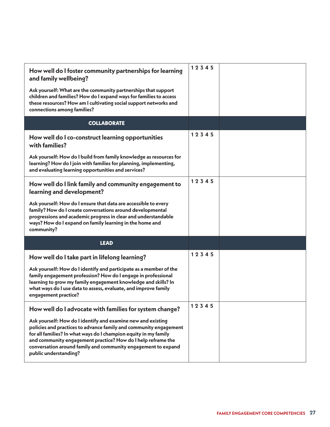| How well do I foster community partnerships for learning<br>and family wellbeing?<br>Ask yourself: What are the community partnerships that support<br>children and families? How do I expand ways for families to access<br>these resources? How am I cultivating social support networks and<br>connections among families?                                   | 12345 |  |
|-----------------------------------------------------------------------------------------------------------------------------------------------------------------------------------------------------------------------------------------------------------------------------------------------------------------------------------------------------------------|-------|--|
| <b>COLLABORATE</b>                                                                                                                                                                                                                                                                                                                                              |       |  |
| How well do I co-construct learning opportunities<br>with families?                                                                                                                                                                                                                                                                                             | 12345 |  |
| Ask yourself: How do I build from family knowledge as resources for<br>learning? How do I join with families for planning, implementing,<br>and evaluating learning opportunities and services?                                                                                                                                                                 |       |  |
| How well do I link family and community engagement to<br>learning and development?                                                                                                                                                                                                                                                                              | 12345 |  |
| Ask yourself: How do I ensure that data are accessible to every<br>family? How do I create conversations around developmental<br>progressions and academic progress in clear and understandable<br>ways? How do I expand on family learning in the home and<br>community?                                                                                       |       |  |
| <b>LEAD</b>                                                                                                                                                                                                                                                                                                                                                     |       |  |
| How well do I take part in lifelong learning?                                                                                                                                                                                                                                                                                                                   | 12345 |  |
| Ask yourself: How do I identify and participate as a member of the<br>family engagement profession? How do I engage in professional<br>learning to grow my family engagement knowledge and skills? In<br>what ways do I use data to assess, evaluate, and improve family<br>engagement practice?                                                                |       |  |
| How well do I advocate with families for system change?                                                                                                                                                                                                                                                                                                         | 12345 |  |
| Ask yourself: How do I identify and examine new and existing<br>policies and practices to advance family and community engagement<br>for all families? In what ways do I champion equity in my family<br>and community engagement practice? How do I help reframe the<br>conversation around family and community engagement to expand<br>public understanding? |       |  |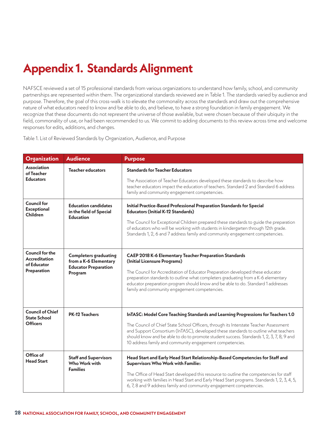### <span id="page-30-0"></span>**Appendix 1. Standards Alignment**

NAFSCE reviewed a set of 15 professional standards from various organizations to understand how family, school, and community partnerships are represented within them. The organizational standards reviewed are in Table 1. The standards varied by audience and purpose. Therefore, the goal of this cross-walk is to elevate the commonality across the standards and draw out the comprehensive nature of what educators need to know and be able to do, and believe, to have a strong foundation in family engagement. We recognize that these documents do not represent the universe of those available, but were chosen because of their ubiquity in the field, commonality of use, or had been recommended to us. We commit to adding documents to this review across time and welcome responses for edits, additions, and changes.

Table 1. List of Reviewed Standards by Organization, Audience, and Purpose

| <b>Organization</b>                                                          | <b>Audience</b>                                                                                 | <b>Purpose</b>                                                                                                                                                                                                                                                                                                                                                                                            |
|------------------------------------------------------------------------------|-------------------------------------------------------------------------------------------------|-----------------------------------------------------------------------------------------------------------------------------------------------------------------------------------------------------------------------------------------------------------------------------------------------------------------------------------------------------------------------------------------------------------|
| <b>Association</b><br>of Teacher<br><b>Educators</b>                         | <b>Teacher educators</b>                                                                        | <b>Standards for Teacher Educators</b><br>The Association of Teacher Educators developed these standards to describe how<br>teacher educators impact the education of teachers. Standard 2 and Standard 6 address                                                                                                                                                                                         |
|                                                                              |                                                                                                 | family and community engagement competencies.                                                                                                                                                                                                                                                                                                                                                             |
| <b>Council for</b><br><b>Exceptional</b><br>Children                         | <b>Education candidates</b><br>in the field of Special<br><b>Education</b>                      | Initial Practice-Based Professional Preparation Standards for Special<br><b>Educators (Initial K-12 Standards)</b><br>The Council for Exceptional Children prepared these standards to guide the preparation<br>of educators who will be working with students in kindergarten through 12th grade.<br>Standards 1, 2, 6 and 7 address family and community engagement competencies.                       |
| <b>Council for the</b><br><b>Accreditation</b><br>of Educator<br>Preparation | <b>Completers graduating</b><br>from a K-6 Elementary<br><b>Educator Preparation</b><br>Program | <b>CAEP 2018 K-6 Elementary Teacher Preparation Standards</b><br>(Initial Licensure Programs)<br>The Council for Accreditation of Educator Preparation developed these educator<br>preparation standards to outline what completers graduating from a K-6 elementary<br>educator preparation program should know and be able to do. Standard 1 addresses<br>family and community engagement competencies. |
| <b>Council of Chief</b><br><b>State School</b>                               | <b>PK-12 Teachers</b>                                                                           | InTASC: Model Core Teaching Standards and Learning Progressions for Teachers 1.0                                                                                                                                                                                                                                                                                                                          |
| <b>Officers</b>                                                              |                                                                                                 | The Council of Chief State School Officers, through its Interstate Teacher Assessment<br>and Support Consortium (InTASC), developed these standards to outline what teachers<br>should know and be able to do to promote student success. Standards 1, 2, 3, 7, 8, 9 and<br>10 address family and community engagement competencies.                                                                      |
| Office of<br><b>Head Start</b>                                               | <b>Staff and Supervisors</b><br>Who Work with<br><b>Families</b>                                | Head Start and Early Head Start Relationship-Based Competencies for Staff and<br><b>Supervisors Who Work with Families</b><br>The Office of Head Start developed this resource to outline the competencies for staff<br>working with families in Head Start and Early Head Start programs. Standards 1, 2, 3, 4, 5,<br>6, 7, 8 and 9 address family and community engagement competencies.                |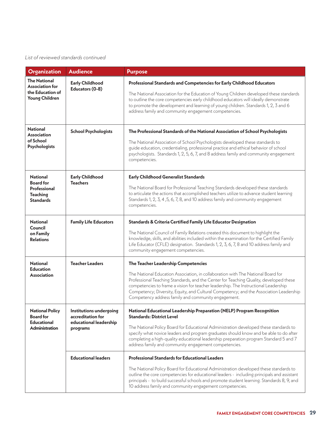#### *List of reviewed standards continued*

| <b>Organization</b>                                                                        | <b>Audience</b>                                                                    | <b>Purpose</b>                                                                                                                                                                                                                                                                                                                                                                                                                                           |
|--------------------------------------------------------------------------------------------|------------------------------------------------------------------------------------|----------------------------------------------------------------------------------------------------------------------------------------------------------------------------------------------------------------------------------------------------------------------------------------------------------------------------------------------------------------------------------------------------------------------------------------------------------|
| <b>The National</b><br><b>Association for</b><br>the Education of<br><b>Young Children</b> | <b>Early Childhood</b><br>Educators (0-8)                                          | Professional Standards and Competencies for Early Childhood Educators<br>The National Association for the Education of Young Children developed these standards<br>to outline the core competencies early childhood educators will ideally demonstrate<br>to promote the development and learning of young children. Standards 1, 2, 3 and 6<br>address family and community engagement competencies.                                                    |
| <b>National</b><br><b>Association</b><br>of School<br><b>Psychologists</b>                 | <b>School Psychologists</b>                                                        | The Professional Standards of the National Association of School Psychologists<br>The National Association of School Psychologists developed these standards to<br>guide education, credentialing, professional practice and ethical behavior of school<br>psychologists. Standards 1, 2, 5, 6, 7, and 8 address family and community engagement<br>competencies.                                                                                        |
| <b>National</b><br><b>Board</b> for<br>Professional<br><b>Teaching</b><br><b>Standards</b> | <b>Early Childhood</b><br><b>Teachers</b>                                          | <b>Early Childhood Generalist Standards</b><br>The National Board for Professional Teaching Standards developed these standards<br>to articulate the actions that accomplished teachers utilize to advance student learning<br>Standards 1, 2, 3, 4, 5, 6, 7, 8, and 10 address family and community engagement<br>competencies.                                                                                                                         |
| <b>National</b><br>Council<br>on Family<br><b>Relations</b>                                | <b>Family Life Educators</b>                                                       | Standards & Criteria Certified Family Life Educator Designation<br>The National Council of Family Relations created this document to highlight the<br>knowledge, skills, and abilities included within the examination for the Certified Family<br>Life Educator (CFLE) designation. Standards 1, 2, 3, 6, 7, 8 and 10 address family and<br>community engagement competencies.                                                                          |
| <b>National</b><br><b>Education</b><br>Association                                         | <b>Teacher Leaders</b>                                                             | The Teacher Leadership Competencies<br>The National Education Association, in collaboration with The National Board for<br>Professional Teaching Standards, and the Center for Teaching Quality, developed these<br>competencies to frame a vision for teacher leadership. The Instructional Leadership<br>Competency; Diversity, Equity, and Cultural Competency; and the Association Leadership<br>Competency address family and community engagement. |
| <b>National Policy</b><br><b>Board for</b><br><b>Educational</b><br><b>Administration</b>  | Institutions undergoing<br>accreditation for<br>educational leadership<br>programs | National Educational Leadership Preparation (NELP) Program Recognition<br><b>Standards: District Level</b><br>The National Policy Board for Educational Administration developed these standards to<br>specify what novice leaders and program graduates should know and be able to do after<br>completing a high-quality educational leadership preparation program Standard 5 and 7<br>address family and community engagement competencies.           |
|                                                                                            | <b>Educational leaders</b>                                                         | <b>Professional Standards for Educational Leaders</b><br>The National Policy Board for Educational Administration developed these standards to<br>outline the core competencies for educational leaders - including principals and assistant<br>principals - to build successful schools and promote student learning. Standards 8, 9, and<br>10 address family and community engagement competencies.                                                   |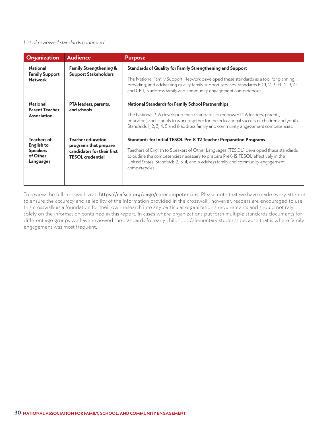#### *List of reviewed standards continued*

| <b>Organization</b>                                                          | <b>Audience</b>                                                                                            | <b>Purpose</b>                                                                                                                                                                                                                                                                                                                                     |
|------------------------------------------------------------------------------|------------------------------------------------------------------------------------------------------------|----------------------------------------------------------------------------------------------------------------------------------------------------------------------------------------------------------------------------------------------------------------------------------------------------------------------------------------------------|
| <b>National</b><br><b>Family Support</b><br><b>Network</b>                   | <b>Family Strengthening &amp;</b><br><b>Support Stakeholders</b>                                           | <b>Standards of Quality for Family Strengthening and Support</b><br>The National Family Support Network developed these standards as a tool for planning,<br>providing, and addressing quality family support services. Standards ED 1, 2, 3; FC 2, 3, 4;<br>and CB 1, 3 address family and community engagement competencies.                     |
| <b>National</b><br><b>Parent Teacher</b><br>Association                      | PTA leaders, parents,<br>and schools                                                                       | <b>National Standards for Family School Partnerships</b><br>The National PTA developed these standards to empower PTA leaders, parents,<br>educators, and schools to work together for the educational success of children and youth.<br>Standards 1, 2, 3, 4, 5 and 6 address family and community engagement competencies.                       |
| <b>Teachers of</b><br>English to<br><b>Speakers</b><br>of Other<br>Languages | <b>Teacher education</b><br>programs that prepare<br>candidates for their first<br><b>TESOL</b> credential | Standards for Initial TESOL Pre-K-12 Teacher Preparation Programs<br>Teachers of English to Speakers of Other Languages (TESOL) developed these standards<br>to outline the competencies necessary to prepare PreK-12 TESOL effectively in the<br>United States. Standards 2, 3, 4, and 5 address family and community engagement<br>competencies. |

To review the full crosswalk visit: <https://nafsce.org/page/corecompetencies>. Please note that we have made every attempt to ensure the accuracy and reliability of the information provided in the crosswalk, however, readers are encouraged to use this crosswalk as a foundation for their own research into any particular organization's requirements and should not rely solely on the information contained in this report. In cases where organizations put forth multiple standards documents for different age groups we have reviewed the standards for early childhood/elementary students because that is where family engagement was most frequent.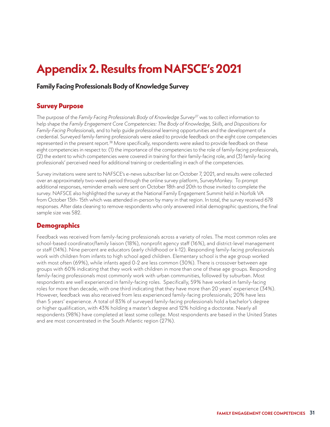### <span id="page-33-0"></span>**Appendix 2. Results from NAFSCE's 2021**

#### **Family Facing Professionals Body of Knowledge Survey**

#### **Survey Purpose**

The purpose of the *Family Facing Professionals Body of Knowledge Survey37* was to collect information to help shape the *Family Engagement Core Competencies: The Body of Knowledge, Skills, and Dispositions for Family-Facing Professionals,* and to help guide professional learning opportunities and the development of a credential. Surveyed family-faming professionals were asked to provide feedback on the eight core competencies represented in the present report.38 More specifically, respondents were asked to provide feedback on these eight competencies in respect to: (1) the importance of the competencies to the role of family-facing professionals, (2) the extent to which competencies were covered in training for their family-facing role, and (3) family-facing professionals' perceived need for additional training or credentialling in each of the competencies.

Survey invitations were sent to NAFSCE's e-news subscriber list on October 7, 2021, and results were collected over an approximately two-week period through the online survey platform, SurveyMonkey. To prompt additional responses, reminder emails were sent on October 18th and 20th to those invited to complete the survey. NAFSCE also highlighted the survey at the National Family Engagement Summit held in Norfolk VA from October 13th- 15th which was attended in-person by many in that region. In total, the survey received 678 responses. After data cleaning to remove respondents who only answered initial demographic questions, the final sample size was 582.

#### **Demographics**

Feedback was received from family-facing professionals across a variety of roles. The most common roles are school-based coordinator/family liaison (18%), nonprofit agency staff (16%), and district-level management or staff (14%). Nine percent are educators (early childhood or k-12). Responding family-facing professionals work with children from infants to high school aged children. Elementary school is the age group worked with most often (69%), while infants aged 0-2 are less common (30%). There is crossover between age groups with 60% indicating that they work with children in more than one of these age groups. Responding family-facing professionals most commonly work with urban communities, followed by suburban. Most respondents are well experienced in family-facing roles. Specifically, 59% have worked in family-facing roles for more than decade, with one third indicating that they have more than 20 years' experience (34%). However, feedback was also received from less experienced family-facing professionals; 20% have less than 5 years' experience. A total of 83% of surveyed family-facing professionals hold a bachelor's degree or higher qualification, with 43% holding a master's degree and 12% holding a doctorate. Nearly all respondents (98%) have completed at least some college. Most respondents are based in the United States and are most concentrated in the South Atlantic region (27%).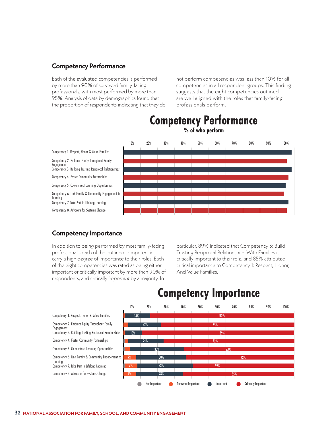#### **Competency Performance**

Each of the evaluated competencies is performed by more than 90% of surveyed family-facing professionals, with most performed by more than 95%. Analysis of data by demographics found that the proportion of respondents indicating that they do not perform competencies was less than 10% for all competencies in all respondent groups. This finding suggests that the eight competencies outlined are well aligned with the roles that family-facing professionals perform.



#### **Competency Performance**

#### **Competency Importance**

**Engagement** 

Learning

In addition to being performed by most family-facing professionals, each of the outlined competencies carry a high degree of importance to their roles. Each of the eight competencies was rated as being either important or critically important by more than 90% of respondents, and critically *important* by a majority. In

particular, 89% indicated that Competency 3: Build Trusting Reciprocal Relationships With Families is critically important to their role, and 85% attributed critical importance to Competency 1: Respect, Honor, And Value Families.



#### **Competency Importance**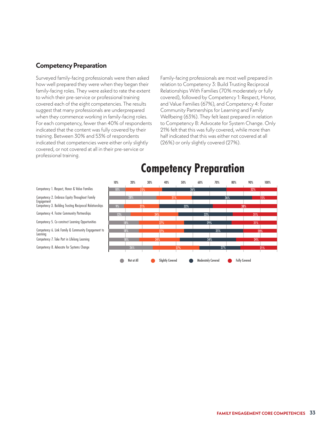#### **Competency Preparation**

Surveyed family-facing professionals were then asked how well prepared they were when they began their family-facing roles. They were asked to rate the extent to which their pre-service or professional training covered each of the eight competencies. The results suggest that many professionals are underprepared when they commence working in family-facing roles. For each competency, fewer than 40% of respondents indicated that the content was fully covered by their training. Between 30% and 53% of respondents indicated that competencies were either only slightly covered, or not covered at all in their pre-service or professional training.

Family-facing professionals are most well prepared in relation to Competency 3: Build Trusting Reciprocal Relationships With Families (70% moderately or fully covered), followed by Competency 1: Respect, Honor, and Value Families (67%), and Competency 4: Foster Community Partnerships for Learning and Family Wellbeing (63%). They felt least prepared in relation to Competency 8: Advocate for System Change. Only 21% felt that this was fully covered, while more than half indicated that this was either not covered at all (26%) or only slightly covered (27%).



#### **Competency Preparation**

Competency 1. Respect, Honor & Value Families

Competency 2. Embrace Equity Throughout Family Engagement

Competency 3. Building Trusting Reciprocal Relationships

Competency 4. Foster Community Partnerships

Competency 5. Co-construct Learning Opportunities

Competency 6. Link Family & Community Engagement to

Learning

Competency 7. Take Part in Lifelong Learning

Competency 8. Advocate for Systems Change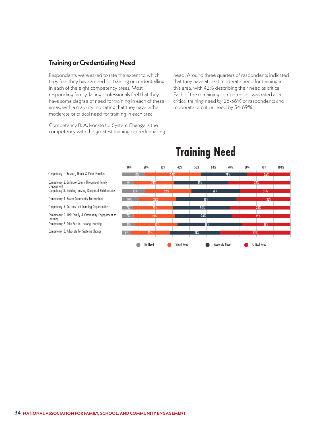#### **Training or Credentialing Need**

Respondents were asked to rate the extent to which they feel they have a need for training or credentialling in each of the eight competency areas. Most responding family-facing professionals feel that they have some degree of need for training in each of these areas, with a majority indicating that they have either moderate or critical need for training in each area.

Competency 8: Advocate for System Change is the competency with the greatest training or credentialling need. Around three quarters of respondents indicated that they have at least moderate need for training in this area, with 42% describing their need as critical. Each of the remaining competencies was rated as a critical training need by 26-36% of respondents and moderate or critical need by 54-69%.



#### **Training Need**

Competency 1. Respect, Honor & Value Families

- Competency 2. Embrace Equity Throughout Family Engagemen
- Competency 3. Building Trusting Reciprocal Relationships
- Competency 4. Foster Community Partnerships
- Competency 5. Co-construct Learning Opportunities
- Competency 6. Link Family & Community Engagement to Learning
- Competency 7. Take Part in Lifelong Learning
- Competency 8. Advocate for Systems Change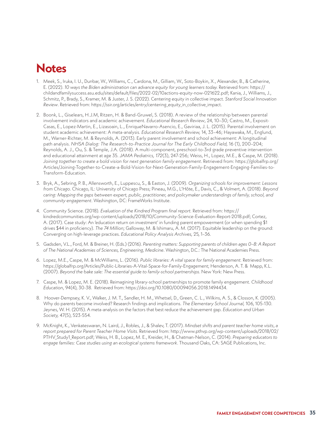#### <span id="page-37-0"></span>**Notes**

- 1. Meek, S., Iruka, I. U., Dunbar, W., Williams, C., Cardona, M., Gilliam, W., Soto-Boykin, X., Alexander, B., & Catherine, E. (2022). *10 ways the Biden administration can advance equity for young learners today.* Retrieved from: [https://](https://childandfamilysuccess.asu.edu/sites/default/files/2022-02/10actions-equity-now-021622.pdf) [childandfamilysuccess.asu.edu/sites/default/files/2022-02/10actions-equity-now-021622.pdf;](https://childandfamilysuccess.asu.edu/sites/default/files/2022-02/10actions-equity-now-021622.pdf) Kania, J., Williams, J., Schmitz, P., Brady, S., Kramer, M. & Juster, J. S. (2022). Centering equity in collective impact. *Stanford Social Innovation Review*. Retrieved from: [https://ssir.org/articles/entry/centering\\_equity\\_in\\_collective\\_impact.](https://ssir.org/articles/entry/centering_equity_in_collective_impact)
- 2. Boonk, L., Giselears, H.J.M, Ritzen, H. & Band-Gruwel, S. (2018). A review of the relationship between parental involvement indicators and academic achievement. *Educational Research Review*, 24, 10–30; Castro, M., Exposit-Casas, E., Lopez-Martin, E., Lizasoain, L., EnriqueNavarro-Asencio, E., Gaviriaa, J. L. (2015). Parental involvement on student academic achievement: A meta-analysis. *Educational Research Review,* 14, 33–46; Hayawaka, M., Englund, M., Warner-Richter, M. & Reynolds, A. (2013). Early parent involvement and school achievement: A longitudinal path analysis. *NHSA Dialog: The Research-to-Practice Journal for The Early Childhood Field, 16 (1), 200-204;* Reynolds, A. J., Ou, S. & Temple, J.A. (2018). A multi-component, preschool-to-3[rd](https://jamanetwork.com/journals/jamapediatrics/fullarticle/2668645) grade preventive intervention and educational attainment at age 3[5.](https://jamanetwork.com/journals/jamapediatrics/fullarticle/2668645) *JAMA Pediatrics, 172*(3), 247-256; Weiss, H., Lopez, M.E., & Caspe, M. (2018). *Joining together to create a bold vision for next generation family engagement*. Retrieved from: [https://globalfrp.org/](https://globalfrp.org/Articles/Joining-Together-to-Create-a-Bold-Vision-for-Next-Generation-Family-Engagement-Engaging-Families-to-Transform-Education) [Articles/Joining-Together-to-Create-a-Bold-Vision-for-Next-Generation-Family-Engagement-Engaging-Families-to-](https://globalfrp.org/Articles/Joining-Together-to-Create-a-Bold-Vision-for-Next-Generation-Family-Engagement-Engaging-Families-to-Transform-Education)[Transform-Education.](https://globalfrp.org/Articles/Joining-Together-to-Create-a-Bold-Vision-for-Next-Generation-Family-Engagement-Engaging-Families-to-Transform-Education)
- 3. Bryk, A., Sebring, P. B., Allensworth, E., Luppescu, S., & Easton, J. (2009). *Organizing schools for improvement: Lessons from Chicago*. Chicago, IL: University of Chicago Press; Pineau, M.G., L'Hôte, E., Davis, C., & Volmert, A. (2018). *Beyond*  caring: Mapping the gaps between expert, public, practitioner, and policymaker understandings of family, school, and *community engagement*. Washington, DC: FrameWorks Institute.
- 4. Community Science. (2018). *Evaluation of the Kindred Program final report.* Retrieved from: [https://](https://kindredcommunities.org/wp-content/uploads/2018/10/Community-Science-Evaluation-Report-2018.pdf) [kindredcommunities.org/wp-content/uploads/2018/10/Community-Science-Evaluation-Report-2018.pdf](https://kindredcommunities.org/wp-content/uploads/2018/10/Community-Science-Evaluation-Report-2018.pdf); Cortez, A. (2017). Case study: An 'education return on investment' in funding parent empowerment (or when spending \$1 drives \$44 in proficiency). *The 74 Million*; Galloway, M. & Ishimaru, A. M. (2017). Equitable leadership on the ground: Converging on high-leverage practices. *Educational Policy Analysis Archives,* 25, 1–36.
- 5. Gadsden, V.L., Ford, M. & Breiner, H. (Eds.) (2016). *Parenting matters: Supporting parents of children ages 0–8: A Report of The National Academies of Sciences, Engineering, Medicine*. Washington, D.C.: The National Academies Press.
- 6. Lopez, M.E., Caspe, M. & McWilliams, L. (2016). *Public libraries: A vital space for family engagement.* Retrieved from: <https://globalfrp.org/Articles/Public-Libraries-A-Vital-Space-for-Family-Engagement>; Henderson, A. T. & Mapp, K.L. (2007). *Beyond the bake sale: The essential guide to family-school partnerships*. New York: New Press.
- 7. Caspe, M. & Lopez, M. E. (2018). Reimagining library-school partnerships to promote family engagement. *Childhood Education*, 94(4), 30-38*.* Retrieved from: [https://doi.org/10.1080/00094056.2018.1494434.](https://doi.org/10.1080/00094056.2018.1494434)
- 8. Hoover-Dempsey, K. V., Walker, J. M. T., Sandler, H. M., Whetsel, D., Green, C. L., Wilkins, A. S., & Closson, K. (2005). Why do parents become involved? Research findings and implications. *The Elementary School Journal,* 106, 105-130. Jeynes, W. H. (2015). A meta-analysis on the factors that best reduce the achievement gap. *Education and Urban Society,* 47(5), 523-554.
- 9. McKnight, K., Venkateswaran, N. Laird, J., Robles, J., & Shalev, T. (2017). *Mindset shifts and parent teacher home visits*, *a report prepared for Parent Teacher Home Visits*. Retrieved from: [http://www.pthvp.org/wp-content/uploads/2018/02/](http://www.pthvp.org/wp-content/uploads/2018/02/PTHV_Study1_Report.pdf) [PTHV\\_Study1\\_Report.pdf](http://www.pthvp.org/wp-content/uploads/2018/02/PTHV_Study1_Report.pdf); Weiss, H. B., Lopez, M. E., Kreider, H., & Chatman-Nelson, C. (2014). *Preparing educators to engage families: Case studies using an ecological systems framework*. Thousand Oaks, CA: SAGE Publications, Inc.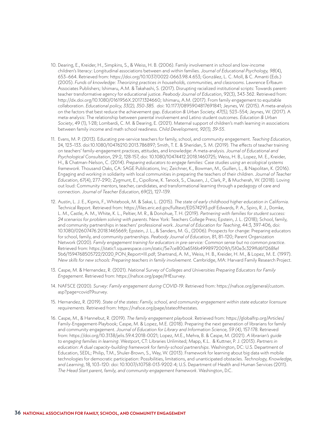- 10. Dearing, E., Kreider, H., Simpkins, S., & Weiss, H. B. (2006). Family involvement in school and low-income children's literacy: Longitudinal associations between and within families. *Journal of Educational Psychology, 98*(4), 653–664. Retrieved from: [https://doi.org/10.1037/0022-0663.98.4.653;](https://doi.org/10.1037/0022-0663.98.4.653) González, L. C. Moll, & C. Amanti (Eds.) (2005). *Funds of knowledge: Theorizing practices in households, communities, and classrooms*. Lawrence Erlbaum Associates Publishers; Ishimaru, A.M. & Takahashi, S. (2017). Disrupting racialized institutional scripts: Towards parentteacher transformative agency for educational justice. *Peabody Journal of Education*, 92(3), 343-362. Retrieved from: [http://dx.doi.org/10.1080/0161956X.2017.1324660;](http://dx.doi.org/10.1080/0161956X.2017.1324660) Ishimaru, A.M. (2017). From family engagement to equitable collaboration. *Educational policy, 33(2), 350-385.* doi: 10.1177/0895904817691841; Jeynes, W. (2015). A meta-analysis on the factors that best reduce the achievement gap. *Education & Urban Society, 47(5),* 523–554; Jeynes, W. (2017). A meta-analysis: The relationship between parental involvement and Latino student outcomes. *Education & Urban Society*, 49 (1), 1-28; Lombardi, C. M. & Dearing, E. (2021). Maternal support of children's math learning in associations between family income and math school readiness. *Child Development, 92(1), 39-55*.
- 11. Evans, M. P. (2013). Educating pre-service teachers for family, school, and community engagement. *Teaching Education*, 24, 123–133. doi:10.1080/10476210.2013.786897; Smith, T. E. & Sheridan, S. M. (2019). The effects of teacher training on teachers' family-engagement practices, attitudes, and knowledge: A meta-analysis. *Journal of Educational and Psychological Consultation*, 29:2, 128-157, doi: [10.1080/10474412.2018.1460725](https://doi.org/10.1080/10474412.2018.1460725); Weiss, H. B., Lopez, M. E., Kreider, H., & Chatman-Nelson, C. (2014). *Preparing educators to engage families: Case studies using an ecological systems framework.* Thousand Oaks, CA: SAGE Publications, Inc; Zeichner, K., Bowman, M., Guillen, L., & Napolitan, K. (2016). Engaging and working in solidarity with local communities in preparing the teachers of their children. *Journal of Teacher Education*, 67(4), 277–290; Zygmunt, E., Cipollone, K. Tanock, S., Clausen, J., Clark, P., & Mucherah, W. (2018). Loving out loud: Community mentors, teacher, candidates, and transformational learning through a pedagogy of care and connection. *Journal of Teacher Education*, 69(2), 127–139.
- 12. Austin, L. J. E., Kipnis, F., Whitebook, M. & Sakai, L. (2015). *The state of early childhood higher education in California*. Technical Report. Retrieved from: https://files.eric.ed.gov/fulltext/ED574293.pdf Edwards, P. A., Spiro, R. J., Domke, L. M., Castle, A. M., White, K. L., Peltier, M. R., & Donohue, T. H. (2019). *Partnering with families for student success: 24 scenarios for problem solving with parents*. New York: Teachers College Press; Epstein, J. L. (2018); School, family, and community partnerships in teachers' professional work. *Journal of Education for Teaching*, 44:3, 397-406, doi: 10.1080/02607476.2018.1465669; Epstein, J. L., & Sanders, M. G., (2006). Prospects for change: Preparing educators for school, family, and community partnerships. *Peabody Journal of Education,* 81, 81–120; Parent Organization Network (2020). *Family engagement training for educators in pre-service: Common sense but no common practice*. Retrieved from: [https://static1.squarespace.com/static/5e7ce800a65f6b4998972009/t/5f0e3c329ffd6f1268fef](https://static1.squarespace.com/static/5e7ce800a65f6b4998972009/t/5f0e3c329ffd6f1268fef5b6/1594768505722/2020_PON_Report+III.pdf) [5b6/1594768505722/2020\\_PON\\_Report+III.pdf;](https://static1.squarespace.com/static/5e7ce800a65f6b4998972009/t/5f0e3c329ffd6f1268fef5b6/1594768505722/2020_PON_Report+III.pdf) Shartrand, A. M., Weiss, H. B., Kreider, H. M., & Lopez, M. E. (1997). *New skills for new schools: Preparing teachers in family involvement.* Cambridge, MA: Harvard Family Research Project.
- 13. Caspe, M. & Hernandez, R. (2021). *National Survey of Colleges and Universities Preparing Educators for Family Engagement*. Retrieved from:<https://nafsce.org/page/IHEsurvey>.
- 14. NAFSCE (2020). *Survey: Family engagement during COVID-19*. Retrieved from: [https://nafsce.org/general/custom.](https://nafsce.org/general/custom.asp?page=covid19survey) [asp?page=covid19survey.](https://nafsce.org/general/custom.asp?page=covid19survey)
- 15. Hernandez, R. (2019). *State of the states: Family, school, and community engagement within state educator licensure requirements.* Retrieved from: https://nafsce.org/page/stateofthestates.
- 16. Caspe, M., & Hannebut, R. (2019). *The family engagement playbook*. Retrieved from: https://globalfrp.org/Articles/ Family-Engagement-Playbook; Caspe, M. & Lopez, M.E. (2018). Preparing the next generation of librarians for family and community engagement. *Journal of Education for Library and Information Science, 59 (4)*, 157-178. Retrieved from: <https://doi.org/10.3138/jelis.59.4.2018-0021>; Lopez, M.E., Mehra, B. & Caspe, M. (2021). *A librarian's guide to engaging families in learning*. Westport, CT: Libraries Unlimited; Mapp, K.L. & Kuttner, P. J. (2013). *Partners in education: A dual capacity-building framework for family-school partnerships*. Washington, DC: U.S. Department of Education, SEDL; Philip, T.M., Shuler-Brown, S., Way, W. (2013). Framework for learning about big data with mobile technologies for democratic participation: Possibilities, limitations, and unanticipated obstacles. *Technology, Knowledge, and Learning*, 18, 103–120: doi: 10.1007/s10758-013-9202-4; U.S. Department of Health and Human Services (2011). *The Head Start parent, family, and community engagement framework*. Washington, D.C.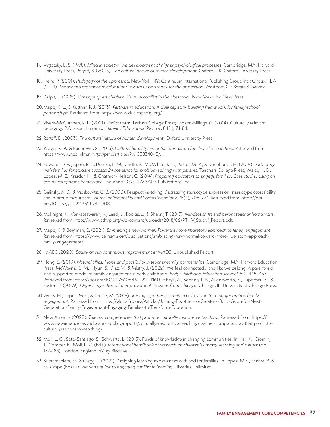- 17. Vygotsky, L. S. (1978). *Mind in society: The development of higher psychological processes*. Cambridge, MA: Harvard University Press; Rogoff, B. (2003). *The cultural nature of human development*. Oxford, UK: Oxford University Press.
- 18. Freire, P. (2001). *Pedagogy of the oppressed*. New York, NY: Continuum International Publishing Group Inc.; Giroux, H. A. (2001). *Theory and resistance in education: Towards a pedagogy for the opposition*. Westport, CT: Bergin & Garvey.
- 19. Delpit, L. (1995). *Other people's children: Cultural conflict in the classroom*. New York: The New Press.
- 20.Mapp, K. L., & Kuttner, P. J. (2013). *Partners in education: A dual capacity-building framework for family-school partnerships.* Retrieved from: https://www.dualcapacity.org/.
- 21. Rivera-McCutchen, R. L. (2021). *Radical care*. Techers College Press; Ladson-Billings, G. (2014). Culturally relevant pedagogy 2.0: a.k.a. the remix. *Harvard Educational Review*, 84(1), 74-84.
- 22.Rogoff, B. (2003). *The cultural nature of human development.* Oxford University Press.
- 23. Yeager, K. A. & Bauer-Wu, S. (2013). *Cultural humility: Essential foundation for clinical researchers.* Retrieved from: [https://www.ncbi.nlm.nih.gov/pmc/articles/PMC3834043/.](https://www.ncbi.nlm.nih.gov/pmc/articles/PMC3834043/)
- 24. Edwards, P. A., Spiro, R. J., Domke, L. M., Castle, A. M., White, K. L., Peltier, M. R., & Donohue, T. H. (2019). *Partnering with families for student success: 24 scenarios for problem solving with parents*. Teachers College Press; Weiss, H. B., Lopez, M. E., Kreider, H., & Chatman-Nelson, C. (2014). *Preparing educators to engage families: Case studies using an ecological systems framework*. Thousand Oaks, CA: SAGE Publications, Inc.
- 25. Galinsky, A. D., & Moskowitz, G. B. (2000). Perspective-taking: Decreasing stereotype expression, stereotype accessibility, and in-group favouritism. *Journal of Personality and Social Psychology*, 78(4), 708–724. Retrieved from: [https://doi.](https://doi.org/10.1037//0022-3514.78.4.708) [org/10.1037//0022-3514.78.4.708.](https://doi.org/10.1037//0022-3514.78.4.708)
- 26.McKnight, K., Venkateswaran, N, Laird, J., Robles, J., & Shalev, T. (2017). *Mindset shifts and parent teacher home visits*. Retrieved from: [http://www.pthvp.org/wp-content/uploads/2018/02/PTHV\\_Study1\\_Report.pdf.](http://www.pthvp.org/wp-content/uploads/2018/02/PTHV_Study1_Report.pdf)
- 27. Mapp, K. & Bergman, E. (2021). *Embracing a new normal: Toward a more liberatory approach to family engagement*. Retrieved from: https://www.carnegie.org/publications/embracing-new-normal-toward-more-liberatory-approachfamily-engagement/.
- 28. MAEC (2020). *Equity driven continuous improvement at MAEC*. Unpublished Report.
- 29. Hong, S. (2019). *Natural allies: Hope and possibility in teacher-family partnerships*. Cambridge, MA: Harvard Education Press; McWayne, C. M., Hyun, S., Diez, V., & Mistry, J. (2022). We feel connected… and like we belong: A parent-led, staff-supported model of family engagement in early childhood. *Early Childhood Education Journal,* 50, 445–457. Retrieved from: [https://doi.org/10.1007/s10643-021-01160-x;](https://doi.org/10.1007/s10643-021-01160-x) Bryk, A., Sebring, P. B., Allensworth, E., Luppescu, S., & Easton, J. (2009). *Organizing schools for improvement: Lessons from Chicago*. Chicago, IL: University of Chicago Press.
- 30.Weiss, H., Lopez, M.E., & Caspe, M. (2018). *Joining together to create a bold vision for next generation family engagement.* Retrieved from: [https://globalfrp.org/Articles/Joining-Together-to-Create-a-Bold-Vision-for-Next-](https://globalfrp.org/Articles/Joining-Together-to-Create-a-Bold-Vision-for-Next-Generation-Family-Engagement-Engaging-Families-to-Transform-Education)[Generation-Family-Engagement-Engaging-Families-to-Transform-Education.](https://globalfrp.org/Articles/Joining-Together-to-Create-a-Bold-Vision-for-Next-Generation-Family-Engagement-Engaging-Families-to-Transform-Education)
- 31. New America (2020). *Teacher competencies that promote culturally responsive teaching*. Retrieved from: https:// www.newamerica.org/education-policy/reports/culturally-responsive-teaching/teacher-competencies-that-promoteculturallyresponsive-teaching/.
- 32.Moll, L. C., Soto-Santiago, S., Schwartz, L. (2013). Funds of knowledge in changing communities. In Hall, K., Cremin, T., Comber, B., Moll, L. C. (Eds.), *International handbook of research on children's literacy, learning and culture* (pp. 172–183). London, England: Wiley Blackwell.
- 33. Subramaniam, M. & Clegg, T. (2021). Designing learning experiences with and for families. In Lopez, M.E., Mehra, B. & M. Caspe (Eds). *A librarian's guide to engaging families in learning*. Libraries Unlimited.